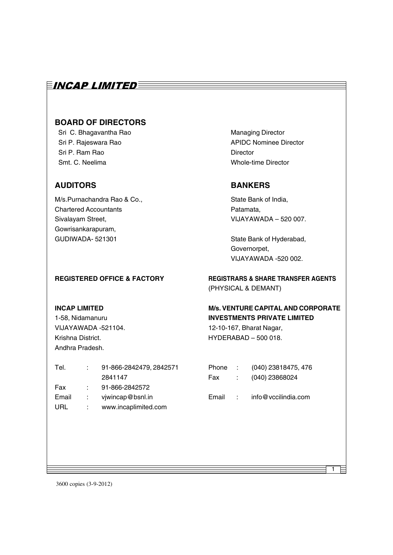### $\equiv$ incap limited $\equiv$

### **BOARD OF DIRECTORS**

Sri C. Bhagavantha Rao Managing Director Sri P. Ram Rao **Director** Smt. C. Neelima Whole-time Director

### **AUDITORS BANKERS**

M/s.Purnachandra Rao & Co., State Bank of India, Chartered Accountants **Chartered Accountants** Patamata, Sivalayam Street, Sivalayam Street, Sivalayam Street, Sivalayam Street, Sivalayam Street, Sivalayam Street, Si Gowrisankarapuram, GUDIWADA- 521301 State Bank of Hyderabad,

Sri P. Rajeswara Rao **APIDC Nominee Director** 

Governorpet, VIJAYAWADA -520 002.

Andhra Pradesh.

| Tel.  |    | 91-866-2842479, 2842571 |  |
|-------|----|-------------------------|--|
|       |    | 2841147                 |  |
| Fax   |    | 91-866-2842572          |  |
| Email | ÷. | vjwincap@bsnl.in        |  |
| URL   |    | www.incaplimited.com    |  |

#### **REGISTERED OFFICE & FACTORY REGISTRARS & SHARE TRANSFER AGENTS** (PHYSICAL & DEMANT)

#### **INCAP LIMITED M/s. VENTURE CAPITAL AND CORPORATE** 1-58, Nidamanuru **INVESTMENTS PRIVATE LIMITED**

VIJAYAWADA -521104. 12-10-167, Bharat Nagar, Krishna District. **HYDERABAD – 500 018.** 

- Phone : (040) 23818475, 476 Fax : (040) 23868024
- Email : info@vccilindia.com

1

3600 copies (3-9-2012)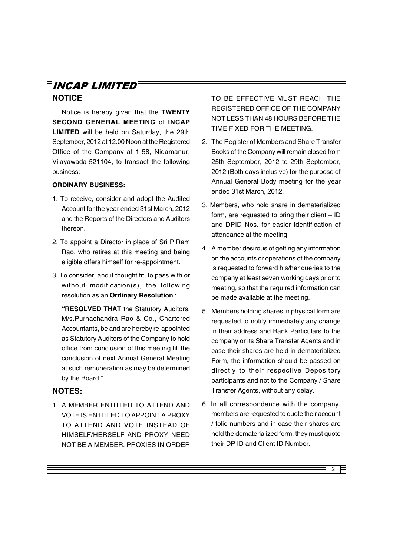### INCAP LIMITED **NOTICE**

Notice is hereby given that the **TWENTY SECOND GENERAL MEETING** of **INCAP LIMITED** will be held on Saturday, the 29th September, 2012 at 12.00 Noon at the Registered Office of the Company at 1-58, Nidamanur, Vijayawada-521104, to transact the following business:

#### **ORDINARY BUSINESS:**

- 1. To receive, consider and adopt the Audited Account for the year ended 31st March, 2012 and the Reports of the Directors and Auditors thereon.
- 2. To appoint a Director in place of Sri P.Ram Rao, who retires at this meeting and being eligible offers himself for re-appointment.
- 3. To consider, and if thought fit, to pass with or without modification(s), the following resolution as an **Ordinary Resolution** :

**"RESOLVED THAT** the Statutory Auditors, M/s.Purnachandra Rao & Co., Chartered Accountants, be and are hereby re-appointed as Statutory Auditors of the Company to hold office from conclusion of this meeting till the conclusion of next Annual General Meeting at such remuneration as may be determined by the Board."

### **NOTES:**

1. A MEMBER ENTITLED TO ATTEND AND VOTE IS ENTITLED TO APPOINT A PROXY TO ATTEND AND VOTE INSTEAD OF HIMSELF/HERSELF AND PROXY NEED NOT BE A MEMBER. PROXIES IN ORDER

TO BE EFFECTIVE MUST REACH THE REGISTERED OFFICE OF THE COMPANY NOT LESS THAN 48 HOURS BEFORE THE TIME FIXED FOR THE MEETING.

- 2. The Register of Members and Share Transfer Books of the Company will remain closed from 25th September, 2012 to 29th September, 2012 (Both days inclusive) for the purpose of Annual General Body meeting for the year ended 31st March, 2012.
- 3. Members, who hold share in dematerialized form, are requested to bring their client – ID and DPID Nos. for easier identification of attendance at the meeting.
- 4. A member desirous of getting any information on the accounts or operations of the company is requested to forward his/her queries to the company at least seven working days prior to meeting, so that the required information can be made available at the meeting.
- 5. Members holding shares in physical form are requested to notify immediately any change in their address and Bank Particulars to the company or its Share Transfer Agents and in case their shares are held in dematerialized Form, the information should be passed on directly to their respective Depository participants and not to the Company / Share Transfer Agents, without any delay.
- 6. In all correspondence with the company, members are requested to quote their account / folio numbers and in case their shares are held the dematerialized form, they must quote their DP ID and Client ID Number.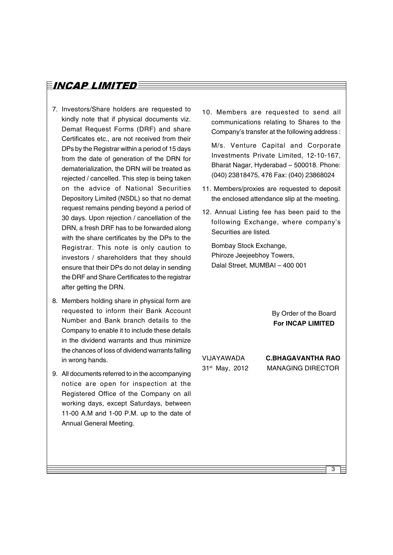- 7. Investors/Share holders are requested to kindly note that if physical documents viz. Demat Request Forms (DRF) and share Certificates etc., are not received from their DPs by the Registrar within a period of 15 days from the date of generation of the DRN for dematerialization, the DRN will be treated as rejected / cancelled. This step is being taken on the advice of National Securities Depository Limited (NSDL) so that no demat request remains pending beyond a period of 30 days. Upon rejection / cancellation of the DRN, a fresh DRF has to be forwarded along with the share certificates by the DPs to the Registrar. This note is only caution to investors / shareholders that they should ensure that their DPs do not delay in sending the DRF and Share Certificates to the registrar after getting the DRN.
- 8. Members holding share in physical form are requested to inform their Bank Account Number and Bank branch details to the Company to enable it to include these details in the dividend warrants and thus minimize the chances of loss of dividend warrants falling in wrong hands.
- 9. All documents referred to in the accompanying notice are open for inspection at the Registered Office of the Company on all working days, except Saturdays, between 11-00 A.M and 1-00 P.M. up to the date of Annual General Meeting.

10. Members are requested to send all communications relating to Shares to the Company's transfer at the following address :

M/s. Venture Capital and Corporate Investments Private Limited, 12-10-167, Bharat Nagar, Hyderabad – 500018. Phone: (040) 23818475, 476 Fax: (040) 23868024

- 11. Members/proxies are requested to deposit the enclosed attendance slip at the meeting.
- 12. Annual Listing fee has been paid to the following Exchange, where company's Securities are listed.

Bombay Stock Exchange, Phiroze Jeejeebhoy Towers, Dalal Street, MUMBAI – 400 001

> By Order of the Board **For INCAP LIMITED**

VIJAYAWADA 31st May, 2012 **C.BHAGAVANTHA RAO** MANAGING DIRECTOR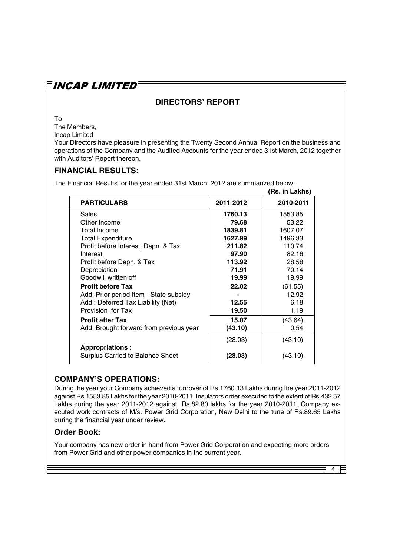### $\bar{E}$ incap limited $\bar{\bar{E}}$

### **DIRECTORS' REPORT**

To

The Members,

Incap Limited

Your Directors have pleasure in presenting the Twenty Second Annual Report on the business and operations of the Company and the Audited Accounts for the year ended 31st March, 2012 together with Auditors' Report thereon.

### **FINANCIAL RESULTS:**

The Financial Results for the year ended 31st March, 2012 are summarized below:

|                                         |           | (Rs. in Lakhs) |
|-----------------------------------------|-----------|----------------|
| <b>PARTICULARS</b>                      | 2011-2012 | 2010-2011      |
| Sales                                   | 1760.13   | 1553.85        |
| Other Income                            | 79.68     | 53.22          |
| <b>Total Income</b>                     | 1839.81   | 1607.07        |
| <b>Total Expenditure</b>                | 1627.99   | 1496.33        |
| Profit before Interest, Depn. & Tax     | 211.82    | 110.74         |
| Interest                                | 97.90     | 82.16          |
| Profit before Depn. & Tax               | 113.92    | 28.58          |
| Depreciation                            | 71.91     | 70.14          |
| Goodwill written off                    | 19.99     | 19.99          |
| <b>Profit before Tax</b>                | 22.02     | (61.55)        |
| Add: Prior period Item - State subsidy  |           | 12.92          |
| Add: Deferred Tax Liability (Net)       | 12.55     | 6.18           |
| Provision for Tax                       | 19.50     | 1.19           |
| <b>Profit after Tax</b>                 | 15.07     | (43.64)        |
| Add: Brought forward from previous year | (43.10)   | 0.54           |
|                                         | (28.03)   | (43.10)        |
| <b>Appropriations:</b>                  |           |                |
| Surplus Carried to Balance Sheet        | (28.03)   | (43.10)        |

### **COMPANY'S OPERATIONS:**

During the year your Company achieved a turnover of Rs.1760.13 Lakhs during the year 2011-2012 against Rs.1553.85 Lakhs for the year 2010-2011. Insulators order executed to the extent of Rs.432.57 Lakhs during the year 2011-2012 against Rs.82.80 lakhs for the year 2010-2011. Company executed work contracts of M/s. Power Grid Corporation, New Delhi to the tune of Rs.89.65 Lakhs during the financial year under review.

### **Order Book:**

Your company has new order in hand from Power Grid Corporation and expecting more orders from Power Grid and other power companies in the current year.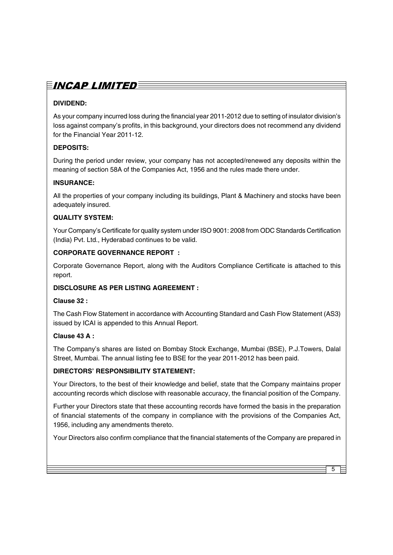# $\bar{E}$ incap limited $\bar{\bar{E}}$

### **DIVIDEND:**

As your company incurred loss during the financial year 2011-2012 due to setting of insulator division's loss against company's profits, in this background, your directors does not recommend any dividend for the Financial Year 2011-12.

#### **DEPOSITS:**

During the period under review, your company has not accepted/renewed any deposits within the meaning of section 58A of the Companies Act, 1956 and the rules made there under.

#### **INSURANCE:**

All the properties of your company including its buildings, Plant & Machinery and stocks have been adequately insured.

#### **QUALITY SYSTEM:**

Your Company's Certificate for quality system under ISO 9001: 2008 from ODC Standards Certification (India) Pvt. Ltd., Hyderabad continues to be valid.

#### **CORPORATE GOVERNANCE REPORT :**

Corporate Governance Report, along with the Auditors Compliance Certificate is attached to this report.

#### **DISCLOSURE AS PER LISTING AGREEMENT :**

#### **Clause 32 :**

The Cash Flow Statement in accordance with Accounting Standard and Cash Flow Statement (AS3) issued by ICAI is appended to this Annual Report.

#### **Clause 43 A :**

The Company's shares are listed on Bombay Stock Exchange, Mumbai (BSE), P.J.Towers, Dalal Street, Mumbai. The annual listing fee to BSE for the year 2011-2012 has been paid.

### **DIRECTORS' RESPONSIBILITY STATEMENT:**

Your Directors, to the best of their knowledge and belief, state that the Company maintains proper accounting records which disclose with reasonable accuracy, the financial position of the Company.

Further your Directors state that these accounting records have formed the basis in the preparation of financial statements of the company in compliance with the provisions of the Companies Act, 1956, including any amendments thereto.

Your Directors also confirm compliance that the financial statements of the Company are prepared in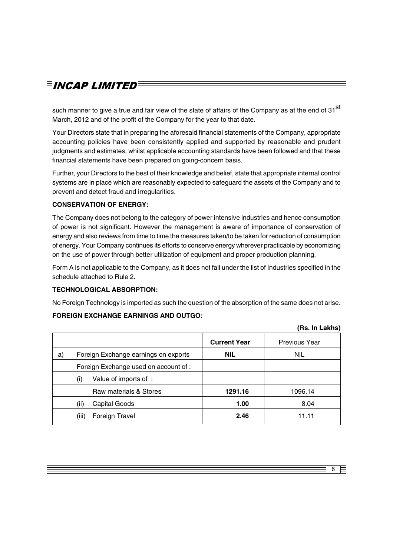# $\equiv$ incap limited $\equiv$

such manner to give a true and fair view of the state of affairs of the Company as at the end of 31 $^{st}$ March, 2012 and of the profit of the Company for the year to that date.

Your Directors state that in preparing the aforesaid financial statements of the Company, appropriate accounting policies have been consistently applied and supported by reasonable and prudent judgments and estimates, whilst applicable accounting standards have been followed and that these financial statements have been prepared on going-concern basis.

Further, your Directors to the best of their knowledge and belief, state that appropriate internal control systems are in place which are reasonably expected to safeguard the assets of the Company and to prevent and detect fraud and irregularities.

#### **CONSERVATION OF ENERGY:**

The Company does not belong to the category of power intensive industries and hence consumption of power is not significant. However the management is aware of importance of conservation of energy and also reviews from time to time the measures taken/to be taken for reduction of consumption of energy. Your Company continues its efforts to conserve energy wherever practicable by economizing on the use of power through better utilization of equipment and proper production planning.

Form A is not applicable to the Company, as it does not fall under the list of Industries specified in the schedule attached to Rule 2.

#### **TECHNOLOGICAL ABSORPTION:**

No Foreign Technology is imported as such the question of the absorption of the same does not arise.

#### **FOREIGN EXCHANGE EARNINGS AND OUTGO:**

|    |                                       |                     | (Rs. In Lakhs)       |
|----|---------------------------------------|---------------------|----------------------|
|    |                                       | <b>Current Year</b> | <b>Previous Year</b> |
| a) | Foreign Exchange earnings on exports  | <b>NIL</b>          | <b>NIL</b>           |
|    | Foreign Exchange used on account of : |                     |                      |
|    | Value of imports of :<br>(i)          |                     |                      |
|    | Raw materials & Stores                | 1291.16             | 1096.14              |
|    | Capital Goods<br>(ii)                 | 1.00                | 8.04                 |
|    | Foreign Travel<br>(iii)               | 2.46                | 11.11                |
|    |                                       |                     |                      |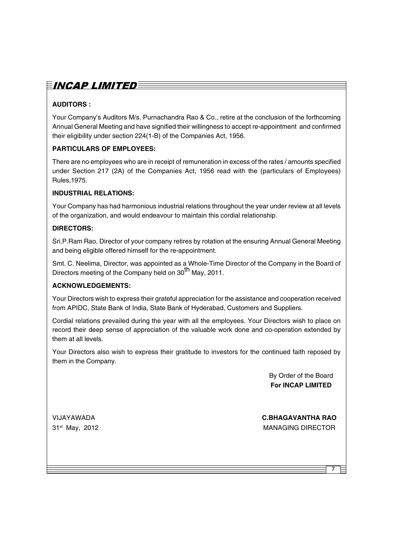# $\bar{\bm{\Xi}}$ incap limited $\bar{\bm{\Xi}}$

### **AUDITORS :**

Your Company's Auditors M/s. Purnachandra Rao & Co., retire at the conclusion of the forthcoming Annual General Meeting and have signified their willingness to accept re-appointment and confirmed their eligibility under section 224(1-B) of the Companies Act, 1956.

#### **PARTICULARS OF EMPLOYEES:**

There are no employees who are in receipt of remuneration in excess of the rates / amounts specified under Section 217 (2A) of the Companies Act, 1956 read with the (particulars of Employees) Rules,1975.

#### **INDUSTRIAL RELATIONS:**

Your Company has had harmonious industrial relations throughout the year under review at all levels of the organization, and would endeavour to maintain this cordial relationship.

#### **DIRECTORS:**

Sri.P.Ram Rao, Director of your company retires by rotation at the ensuring Annual General Meeting and being eligible offered himself for the re-appointment.

Smt. C. Neelima, Director, was appointed as a Whole-Time Director of the Company in the Board of Directors meeting of the Company held on 30<sup>th</sup> May, 2011.

#### **ACKNOWLEDGEMENTS:**

Your Directors wish to express their grateful appreciation for the assistance and cooperation received from APIDC, State Bank of India, State Bank of Hyderabad, Customers and Suppliers.

Cordial relations prevailed during the year with all the employees. Your Directors wish to place on record their deep sense of appreciation of the valuable work done and co-operation extended by them at all levels.

Your Directors also wish to express their gratitude to investors for the continued faith reposed by them in the Company.

> By Order of the Board **For INCAP LIMITED**

VIJAYAWADA 31st May, 2012 **C.BHAGAVANTHA RAO** MANAGING DIRECTOR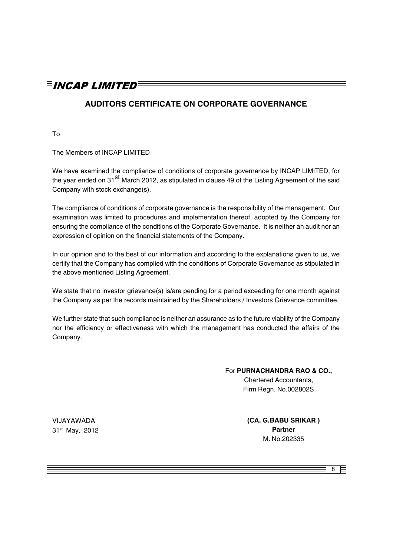### $\bar{E}$ incap limited $\bar{\bar{E}}$

### **AUDITORS CERTIFICATE ON CORPORATE GOVERNANCE**

To

The Members of INCAP LIMITED

We have examined the compliance of conditions of corporate governance by INCAP LIMITED, for the year ended on 31<sup>St</sup> March 2012, as stipulated in clause 49 of the Listing Agreement of the said Company with stock exchange(s).

The compliance of conditions of corporate governance is the responsibility of the management. Our examination was limited to procedures and implementation thereof, adopted by the Company for ensuring the compliance of the conditions of the Corporate Governance. It is neither an audit nor an expression of opinion on the financial statements of the Company.

In our opinion and to the best of our information and according to the explanations given to us, we certify that the Company has complied with the conditions of Corporate Governance as stipulated in the above mentioned Listing Agreement.

We state that no investor grievance(s) is/are pending for a period exceeding for one month against the Company as per the records maintained by the Shareholders / Investors Grievance committee.

We further state that such compliance is neither an assurance as to the future viability of the Company nor the efficiency or effectiveness with which the management has conducted the affairs of the Company.

> For **PURNACHANDRA RAO & CO.,** Chartered Accountants, Firm Regn. No.002802S

VIJAYAWADA 31st May, 2012 **(CA. G.BABU SRIKAR ) Partner** M. No.202335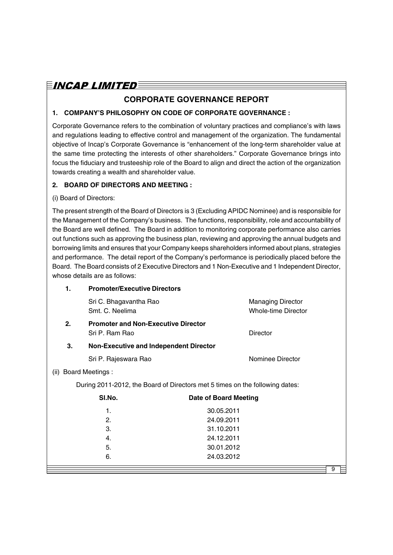### **CORPORATE GOVERNANCE REPORT**

#### **1. COMPANY'S PHILOSOPHY ON CODE OF CORPORATE GOVERNANCE :**

Corporate Governance refers to the combination of voluntary practices and compliance's with laws and regulations leading to effective control and management of the organization. The fundamental objective of Incap's Corporate Governance is "enhancement of the long-term shareholder value at the same time protecting the interests of other shareholders." Corporate Governance brings into focus the fiduciary and trusteeship role of the Board to align and direct the action of the organization towards creating a wealth and shareholder value.

#### **2. BOARD OF DIRECTORS AND MEETING :**

#### (i) Board of Directors:

The present strength of the Board of Directors is 3 (Excluding APIDC Nominee) and is responsible for the Management of the Company's business. The functions, responsibility, role and accountability of the Board are well defined. The Board in addition to monitoring corporate performance also carries out functions such as approving the business plan, reviewing and approving the annual budgets and borrowing limits and ensures that your Company keeps shareholders informed about plans, strategies and performance. The detail report of the Company's performance is periodically placed before the Board. The Board consists of 2 Executive Directors and 1 Non-Executive and 1 Independent Director, whose details are as follows:

|      | 1. | <b>Promoter/Executive Directors</b>                                          |                              |                                                        |  |
|------|----|------------------------------------------------------------------------------|------------------------------|--------------------------------------------------------|--|
|      |    | Sri C. Bhagavantha Rao<br>Smt. C. Neelima                                    |                              | <b>Managing Director</b><br><b>Whole-time Director</b> |  |
|      | 2. | <b>Promoter and Non-Executive Director</b><br>Sri P. Ram Rao                 |                              | <b>Director</b>                                        |  |
|      | 3. | <b>Non-Executive and Independent Director</b>                                |                              |                                                        |  |
|      |    | Sri P. Rajeswara Rao                                                         |                              | Nominee Director                                       |  |
| (ii) |    | <b>Board Meetings:</b>                                                       |                              |                                                        |  |
|      |    | During 2011-2012, the Board of Directors met 5 times on the following dates: |                              |                                                        |  |
|      |    | SI.No.                                                                       | <b>Date of Board Meeting</b> |                                                        |  |
|      |    | 1.                                                                           | 30.05.2011                   |                                                        |  |
|      |    | 2.                                                                           | 24.09.2011                   |                                                        |  |
|      |    | 3.                                                                           | 31.10.2011                   |                                                        |  |
|      |    | 4.                                                                           | 24.12.2011                   |                                                        |  |
|      |    | 5.                                                                           | 30.01.2012                   |                                                        |  |
|      |    | 6.                                                                           | 24.03.2012                   |                                                        |  |
|      |    |                                                                              |                              | 9                                                      |  |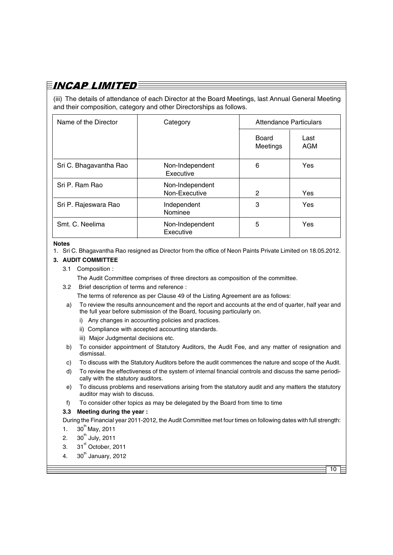(iii) The details of attendance of each Director at the Board Meetings, last Annual General Meeting and their composition, category and other Directorships as follows.

| Name of the Director   | Category                         |                   | <b>Attendance Particulars</b> |  |  |
|------------------------|----------------------------------|-------------------|-------------------------------|--|--|
|                        |                                  | Board<br>Meetings | Last<br>AGM                   |  |  |
| Sri C. Bhagavantha Rao | Non-Independent<br>Executive     | 6                 | Yes                           |  |  |
| Sri P. Ram Rao         | Non-Independent<br>Non-Executive | 2                 | Yes                           |  |  |
| Sri P. Rajeswara Rao   | Independent<br>Nominee           | 3                 | Yes                           |  |  |
| Smt. C. Neelima        | Non-Independent<br>Executive     | 5                 | Yes                           |  |  |

#### **Notes**

1. Sri C. Bhagavantha Rao resigned as Director from the office of Neon Paints Private Limited on 18.05.2012.

#### **3. AUDIT COMMITTEE**

#### 3.1 Composition :

The Audit Committee comprises of three directors as composition of the committee.

3.2 Brief description of terms and reference :

The terms of reference as per Clause 49 of the Listing Agreement are as follows:

- a) To review the results announcement and the report and accounts at the end of quarter, half year and the full year before submission of the Board, focusing particularly on.
	- i) Any changes in accounting policies and practices.
	- ii) Compliance with accepted accounting standards.
	- iii) Major Judgmental decisions etc.
- b) To consider appointment of Statutory Auditors, the Audit Fee, and any matter of resignation and dismissal.
- c) To discuss with the Statutory Auditors before the audit commences the nature and scope of the Audit.
- d) To review the effectiveness of the system of internal financial controls and discuss the same periodically with the statutory auditors.
- e) To discuss problems and reservations arising from the statutory audit and any matters the statutory auditor may wish to discuss.
- f) To consider other topics as may be delegated by the Board from time to time

#### **3.3 Meeting during the year :**

During the Financial year 2011-2012, the Audit Committee met four times on following dates with full strength:

- 1.  $30^{th}$  May, 2011
- 2.  $30^{th}$  July, 2011
- 3.  $31<sup>st</sup>$  October, 2011
- 4.  $30<sup>th</sup>$  January, 2012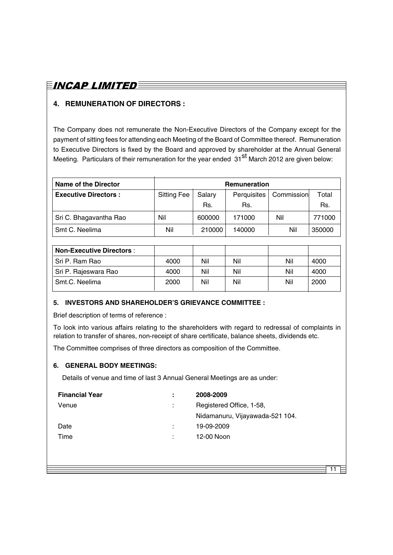# $\bar{E}$ incap limited $\bar{\bar{E}}$

### **4. REMUNERATION OF DIRECTORS :**

The Company does not remunerate the Non-Executive Directors of the Company except for the payment of sitting fees for attending each Meeting of the Board of Committee thereof. Remuneration to Executive Directors is fixed by the Board and approved by shareholder at the Annual General Meeting. Particulars of their remuneration for the year ended 31<sup>st</sup> March 2012 are given below:

| <b>Name of the Director</b> |                                                           |        | <b>Remuneration</b> |       |        |
|-----------------------------|-----------------------------------------------------------|--------|---------------------|-------|--------|
| <b>Executive Directors:</b> | Commission<br>Perquisites<br><b>Sitting Fee</b><br>Salary |        |                     | Total |        |
|                             |                                                           | Rs.    | Rs.                 |       | Rs.    |
| Sri C. Bhagavantha Rao      | Nil                                                       | 600000 | 171000              | Nil   | 771000 |
| Smt C. Neelima              | Nil                                                       | 210000 | 140000              | Nil   | 350000 |

| <b>Non-Executive Directors:</b> |      |     |     |     |      |
|---------------------------------|------|-----|-----|-----|------|
| . Sri P. Ram Rao                | 4000 | Nil | Nil | Nil | 4000 |
| Sri P. Rajeswara Rao            | 4000 | Nil | Nil | Nil | 4000 |
| Smt.C. Neelima                  | 2000 | Nil | Nil | Nil | 2000 |

#### **5. INVESTORS AND SHAREHOLDER'S GRIEVANCE COMMITTEE :**

Brief description of terms of reference :

To look into various affairs relating to the shareholders with regard to redressal of complaints in relation to transfer of shares, non-receipt of share certificate, balance sheets, dividends etc.

The Committee comprises of three directors as composition of the Committee.

#### **6. GENERAL BODY MEETINGS:**

Details of venue and time of last 3 Annual General Meetings are as under:

| <b>Financial Year</b> |   | 2008-2009                       |
|-----------------------|---|---------------------------------|
| Venue                 | ÷ | Registered Office, 1-58,        |
|                       |   | Nidamanuru, Vijayawada-521 104. |
| Date                  |   | 19-09-2009                      |
| Time                  |   | 12-00 Noon                      |
|                       |   |                                 |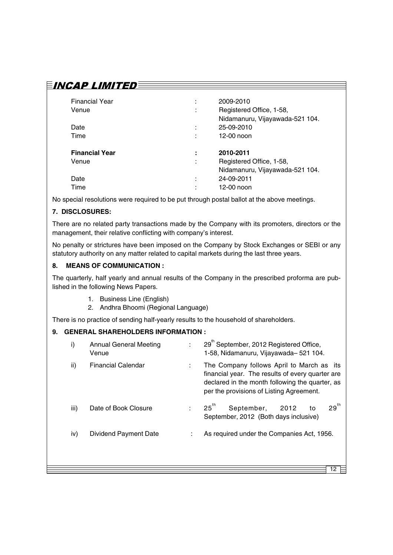### $\bar{E}$ incap limited $\bar{\bar{E}}$

| <b>Financial Year</b><br>Venue | ٠<br>٠<br>$\mathbf{r}$ | 2009-2010<br>Registered Office, 1-58,<br>Nidamanuru, Vijayawada-521 104. |
|--------------------------------|------------------------|--------------------------------------------------------------------------|
| Date                           | ٠                      | 25-09-2010                                                               |
| Time                           | ٠                      | 12-00 noon                                                               |
|                                |                        |                                                                          |
| <b>Financial Year</b>          | ٠                      | 2010-2011                                                                |
| Venue                          | ٠<br>$\mathbf{r}$      | Registered Office, 1-58,                                                 |
|                                |                        | Nidamanuru, Vijayawada-521 104.                                          |
| Date                           | ٠                      | 24-09-2011                                                               |

No special resolutions were required to be put through postal ballot at the above meetings.

#### **7. DISCLOSURES:**

There are no related party transactions made by the Company with its promoters, directors or the management, their relative conflicting with company's interest.

No penalty or strictures have been imposed on the Company by Stock Exchanges or SEBI or any statutory authority on any matter related to capital markets during the last three years.

#### **8. MEANS OF COMMUNICATION :**

The quarterly, half yearly and annual results of the Company in the prescribed proforma are published in the following News Papers.

- 1. Business Line (English)
- 2. Andhra Bhoomi (Regional Language)

There is no practice of sending half-yearly results to the household of shareholders.

#### **9. GENERAL SHAREHOLDERS INFORMATION :**

| i)   | <b>Annual General Meeting</b><br>Venue |   | 29 <sup>th</sup> September, 2012 Registered Office,<br>1-58, Nidamanuru, Vijayawada-521 104.                                                                                                 |  |  |
|------|----------------------------------------|---|----------------------------------------------------------------------------------------------------------------------------------------------------------------------------------------------|--|--|
| ii)  | <b>Financial Calendar</b>              | ÷ | The Company follows April to March as its<br>financial year. The results of every quarter are<br>declared in the month following the quarter, as<br>per the provisions of Listing Agreement. |  |  |
| iii) | Date of Book Closure                   | ÷ | $29^{th}$<br>$25^{\text{th}}$<br>September,<br>2012<br>to<br>September, 2012 (Both days inclusive)                                                                                           |  |  |
| iv)  | <b>Dividend Payment Date</b>           |   | As required under the Companies Act, 1956.                                                                                                                                                   |  |  |
|      |                                        |   |                                                                                                                                                                                              |  |  |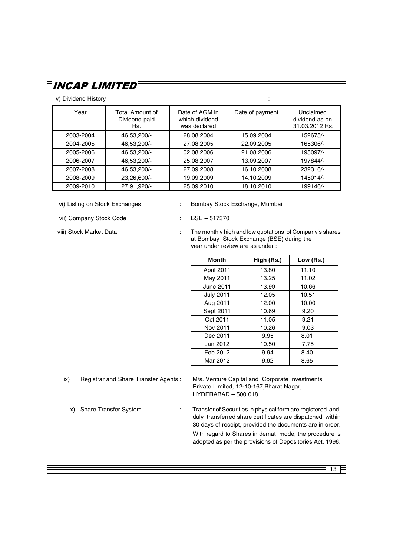| $\equiv$ incap limited $\equiv$ |                                         |                                                  |                 |                                               |
|---------------------------------|-----------------------------------------|--------------------------------------------------|-----------------|-----------------------------------------------|
| v) Dividend History             |                                         |                                                  | $\blacksquare$  |                                               |
| Year                            | Total Amount of<br>Dividend paid<br>Rs. | Date of AGM in<br>which dividend<br>was declared | Date of payment | Unclaimed<br>dividend as on<br>31.03.2012 Rs. |
| 2003-2004                       | 46,53,200/-                             | 28.08.2004                                       | 15.09.2004      | 152675/-                                      |
| 2004-2005                       | 46,53,200/-                             | 27.08.2005                                       | 22.09.2005      | 165306/-                                      |
| 2005-2006                       | 46,53,200/-                             | 02.08.2006                                       | 21.08.2006      | 195097/-                                      |
| 2006-2007                       | 46,53,200/-                             | 25.08.2007                                       | 13.09.2007      | 197844/-                                      |
| 2007-2008                       | 46,53,200/-                             | 27.09.2008                                       | 16.10.2008      | 232316/-                                      |
| 2008-2009                       | 23.26.600/-                             | 19.09.2009                                       | 14.10.2009      | 145014/-                                      |
| 2009-2010                       | 27,91,920/-                             | 25.09.2010                                       | 18.10.2010      | 199146/-                                      |

vi) Listing on Stock Exchanges : Bombay Stock Exchange, Mumbai

vii) Company Stock Code : BSE – 517370

viii) Stock Market Data : The monthly high and low quotations of Company's shares

at Bombay Stock Exchange (BSE) during the year under review are as under :

| <b>Month</b>     | High (Rs.) | Low (Rs.) |
|------------------|------------|-----------|
| April 2011       | 13.80      | 11.10     |
| May 2011         | 13.25      | 11.02     |
| June 2011        | 13.99      | 10.66     |
| <b>July 2011</b> | 12.05      | 10.51     |
| Aug 2011         | 12.00      | 10.00     |
| Sept 2011        | 10.69      | 9.20      |
| Oct 2011         | 11.05      | 9.21      |
| Nov 2011         | 10.26      | 9.03      |
| Dec 2011         | 9.95       | 8.01      |
| Jan 2012         | 10.50      | 7.75      |
| Feb 2012         | 9.94       | 8.40      |
| Mar 2012         | 9.92       | 8.65      |

ix) Registrar and Share Transfer Agents : M/s. Venture Capital and Corporate Investments Private Limited, 12-10-167,Bharat Nagar, HYDERABAD – 500 018.

x) Share Transfer System : Transfer of Securities in physical form are registered and, duly transferred share certificates are dispatched within 30 days of receipt, provided the documents are in order.

> With regard to Shares in demat mode, the procedure is adopted as per the provisions of Depositories Act, 1996.

> > $13 \geq$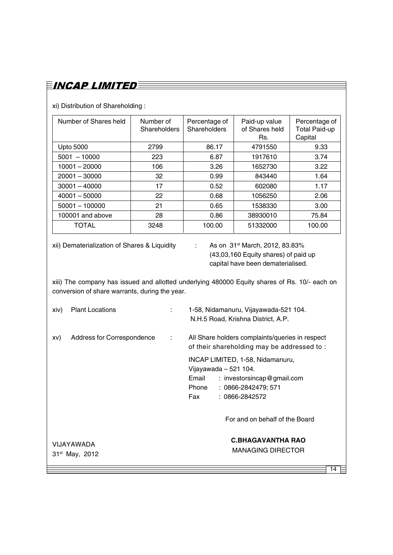xi) Distribution of Shareholding :

| Number of Shares held | Number of<br>Shareholders | Percentage of<br><b>Shareholders</b> | Paid-up value<br>of Shares held<br>Rs. | Percentage of<br><b>Total Paid-up</b><br>Capital |
|-----------------------|---------------------------|--------------------------------------|----------------------------------------|--------------------------------------------------|
| Upto 5000             | 2799                      | 86.17                                | 4791550                                | 9.33                                             |
| $5001 - 10000$        | 223                       | 6.87                                 | 1917610                                | 3.74                                             |
| $10001 - 20000$       | 106                       | 3.26                                 | 1652730                                | 3.22                                             |
| $20001 - 30000$       | 32                        | 0.99                                 | 843440                                 | 1.64                                             |
| $30001 - 40000$       | 17                        | 0.52                                 | 602080                                 | 1.17                                             |
| $40001 - 50000$       | 22                        | 0.68                                 | 1056250                                | 2.06                                             |
| $50001 - 100000$      | 21                        | 0.65                                 | 1538330                                | 3.00                                             |
| 100001 and above      | 28                        | 0.86                                 | 38930010                               | 75.84                                            |
| <b>TOTAL</b>          | 3248                      | 100.00                               | 51332000                               | 100.00                                           |

xii) Dematerialization of Shares & Liquidity : As on 31<sup>st</sup> March, 2012, 83.83%

(43,03,160 Equity shares) of paid up capital have been dematerialised.

xiii) The company has issued and allotted underlying 480000 Equity shares of Rs. 10/- each on conversion of share warrants, during the year.

| xiv) | <b>Plant Locations</b>     | ÷ | 1-58, Nidamanuru, Vijayawada-521 104.<br>N.H.5 Road, Krishna District, A.P.                                                                               |
|------|----------------------------|---|-----------------------------------------------------------------------------------------------------------------------------------------------------------|
| XV)  | Address for Correspondence | ÷ | All Share holders complaints/queries in respect<br>of their shareholding may be addressed to:                                                             |
|      |                            |   | INCAP LIMITED, 1-58, Nidamanuru,<br>Vijayawada - 521 104.<br>Email<br>: investorsincap@gmail.com<br>Phone<br>: 0866-2842479; 571<br>: 0866-2842572<br>Fax |
|      |                            |   | For and on behalf of the Board                                                                                                                            |
|      | VIJAYAWADA                 |   | <b>C.BHAGAVANTHA RAO</b>                                                                                                                                  |
|      | $31st$ May, 2012           |   | <b>MANAGING DIRECTOR</b>                                                                                                                                  |
|      |                            |   | 14                                                                                                                                                        |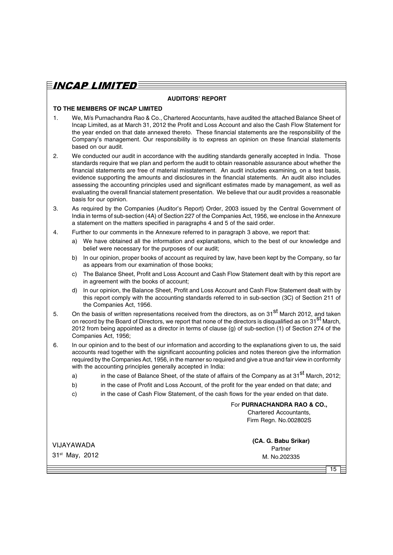#### **AUDITORS' REPORT**

#### **TO THE MEMBERS OF INCAP LIMITED**

- 1. We, M/s Purnachandra Rao & Co., Chartered Acocuntants, have audited the attached Balance Sheet of Incap Limited, as at March 31, 2012 the Profit and Loss Account and also the Cash Flow Statement for the year ended on that date annexed thereto. These financial statements are the responsibility of the Company's management. Our responsibility is to express an opinion on these financial statements based on our audit.
- 2. We conducted our audit in accordance with the auditing standards generally accepted in India. Those standards require that we plan and perform the audit to obtain reasonable assurance about whether the financial statements are free of material misstatement. An audit includes examining, on a test basis, evidence supporting the amounts and disclosures in the financial statements. An audit also includes assessing the accounting principles used and significant estimates made by management, as well as evaluating the overall financial statement presentation. We believe that our audit provides a reasonable basis for our opinion.
- 3. As required by the Companies (Auditor's Report) Order, 2003 issued by the Central Government of India in terms of sub-section (4A) of Section 227 of the Companies Act, 1956, we enclose in the Annexure a statement on the matters specified in paragraphs 4 and 5 of the said order.
- 4. Further to our comments in the Annexure referred to in paragraph 3 above, we report that:
	- a) We have obtained all the information and explanations, which to the best of our knowledge and belief were necessary for the purposes of our audit;
	- b) In our opinion, proper books of account as required by law, have been kept by the Company, so far as appears from our examination of those books;
	- c) The Balance Sheet, Profit and Loss Account and Cash Flow Statement dealt with by this report are in agreement with the books of account;
	- d) In our opinion, the Balance Sheet, Profit and Loss Account and Cash Flow Statement dealt with by this report comply with the accounting standards referred to in sub-section (3C) of Section 211 of the Companies Act, 1956.
- 5. On the basis of written representations received from the directors, as on 31<sup>st</sup> March 2012, and taken on record by the Board of Directors, we report that none of the directors is disqualified as on  $31^{st}$  March, 2012 from being appointed as a director in terms of clause (g) of sub-section (1) of Section 274 of the Companies Act, 1956;
- 6. In our opinion and to the best of our information and according to the explanations given to us, the said accounts read together with the significant accounting policies and notes thereon give the information required by the Companies Act, 1956, in the manner so required and give a true and fair view in conformity with the accounting principles generally accepted in India:
	- a) in the case of Balance Sheet, of the state of affairs of the Company as at 31<sup>st</sup> March, 2012;
	- b) in the case of Profit and Loss Account, of the profit for the year ended on that date; and
	- c) in the case of Cash Flow Statement, of the cash flows for the year ended on that date.

For **PURNACHANDRA RAO & CO.,** Chartered Accountants,

Firm Regn. No.002802S

VIJAYAWADA 31st May, 2012 **(CA. G. Babu Srikar)** Partner M. No.202335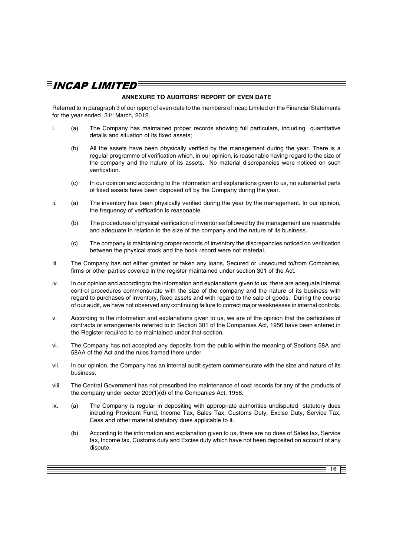### $\bar{E}$ incap limited $\bar{E}$

#### **ANNEXURE TO AUDITORS' REPORT OF EVEN DATE**

Referred to in paragraph 3 of our report of even date to the members of Incap Limited on the Financial Statements for the year ended 31<sup>st</sup> March, 2012.

- i. (a) The Company has maintained proper records showing full particulars, including quantitative details and situation of its fixed assets;
	- (b) All the assets have been physically verified by the management during the year. There is a regular programme of verification which, in our opinion, is reasonable having regard to the size of the company and the nature of its assets. No material discrepancies were noticed on such verification.
	- (c) In our opinion and according to the information and explanations given to us, no substantial parts of fixed assets have been disposed off by the Company during the year.
- ii. (a) The inventory has been physically verified during the year by the management. In our opinion, the frequency of verification is reasonable.
	- (b) The procedures of physical verification of inventories followed by the management are reasonable and adequate in relation to the size of the company and the nature of its business.
	- (c) The company is maintaining proper records of inventory the discrepancies noticed on verification between the physical stock and the book record were not material.
- iii. The Company has not either granted or taken any loans, Secured or unsecured to/from Companies, firms or other parties covered in the register maintained under section 301 of the Act.
- iv. In our opinion and according to the information and explanations given to us, there are adequate internal control procedures commensurate with the size of the company and the nature of its business with regard to purchases of inventory, fixed assets and with regard to the sale of goods. During the course of our audit, we have not observed any continuing failure to correct major weaknesses in internal controls.
- v. According to the information and explanations given to us, we are of the opinion that the particulars of contracts or arrangements referred to in Section 301 of the Companies Act, 1956 have been entered in the Register required to be maintained under that section.
- vi. The Company has not accepted any deposits from the public within the meaning of Sections 58A and 58AA of the Act and the rules framed there under.
- vii. In our opinion, the Company has an internal audit system commensurate with the size and nature of its business.
- viii. The Central Government has not prescribed the maintenance of cost records for any of the products of the company under sector 209(1)(d) of the Companies Act, 1956.
- ix. (a) The Company is regular in depositing with appropriate authorities undisputed statutory dues including Provident Fund, Income Tax, Sales Tax, Customs Duty, Excise Duty, Service Tax, Cess and other material statutory dues applicable to it.
	- (b) According to the information and explanation given to us, there are no dues of Sales tax, Service tax, Income tax, Customs duty and Excise duty which have not been deposited on account of any dispute.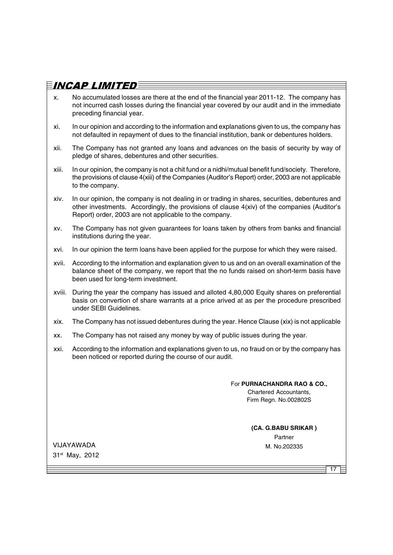- x. No accumulated losses are there at the end of the financial year 2011-12. The company has not incurred cash losses during the financial year covered by our audit and in the immediate preceding financial year.
- xi. In our opinion and according to the information and explanations given to us, the company has not defaulted in repayment of dues to the financial institution, bank or debentures holders.
- xii. The Company has not granted any loans and advances on the basis of security by way of pledge of shares, debentures and other securities.
- xiii. In our opinion, the company is not a chit fund or a nidhi/mutual benefit fund/society. Therefore, the provisions of clause 4(xiii) of the Companies (Auditor's Report) order, 2003 are not applicable to the company.
- xiv. In our opinion, the company is not dealing in or trading in shares, securities, debentures and other investments. Accordingly, the provisions of clause 4(xiv) of the companies (Auditor's Report) order, 2003 are not applicable to the company.
- xv. The Company has not given guarantees for loans taken by others from banks and financial institutions during the year.
- xvi. In our opinion the term loans have been applied for the purpose for which they were raised.
- xvii. According to the information and explanation given to us and on an overall examination of the balance sheet of the company, we report that the no funds raised on short-term basis have been used for long-term investment.
- xviii. During the year the company has issued and alloted 4,80,000 Equity shares on preferential basis on convertion of share warrants at a price arived at as per the procedure prescribed under SEBI Guidelines.
- xix. The Company has not issued debentures during the year. Hence Clause (xix) is not applicable
- xx. The Company has not raised any money by way of public issues during the year.
- xxi. According to the information and explanations given to us, no fraud on or by the company has been noticed or reported during the course of our audit.

For **PURNACHANDRA RAO & CO.,**

Chartered Accountants, Firm Regn. No.002802S

**(CA. G.BABU SRIKAR )** Partner

17

VIJAYAWADA MARKA MARKA MARKA MARKA MARKA MARKA MARKA MARKA MARKA MARKA MARKA MARKA MARKA MARKA MARKA MARKA MAR 31st May, 2012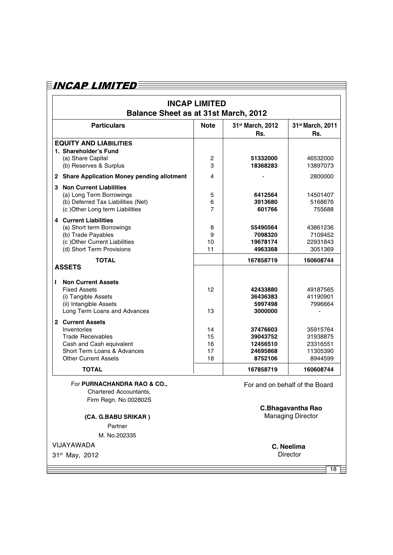| <b>Balance Sheet as at 31st March, 2012</b>                                                                                                           | <b>INCAP LIMITED</b>       |                                                         |                                                         |
|-------------------------------------------------------------------------------------------------------------------------------------------------------|----------------------------|---------------------------------------------------------|---------------------------------------------------------|
| <b>Particulars</b>                                                                                                                                    | <b>Note</b>                | 31st March, 2012<br>Rs.                                 | 31st March, 2011<br>Rs.                                 |
| <b>EQUITY AND LIABILITIES</b><br>1. Shareholder's Fund<br>(a) Share Capital<br>(b) Reserves & Surplus                                                 | $\boldsymbol{2}$<br>3      | 51332000<br>18368283                                    | 46532000<br>13897073                                    |
| 2 Share Application Money pending allotment                                                                                                           | 4                          |                                                         | 2800000                                                 |
| <b>3 Non Current Liabilities</b><br>(a) Long Term Borrowings<br>(b) Deferred Tax Liabilities (Net)<br>(c) Other Long term Liabilities                 | 5<br>6<br>7                | 6412564<br>3913680<br>601766                            | 14501407<br>5168676<br>755688                           |
| <b>4</b> Current Liabilities<br>(a) Short term Borrowings<br>(b) Trade Payables<br>(c) Other Current Liabilities<br>(d) Short Term Provisions         | 8<br>9<br>10<br>11         | 55490564<br>7098320<br>19678174<br>4963368              | 43861236<br>7109452<br>22931843<br>3051369              |
| <b>TOTAL</b><br><b>ASSETS</b>                                                                                                                         |                            | 167858719                                               | 160608744                                               |
| <b>Non Current Assets</b><br>L<br><b>Fixed Assets</b><br>(i) Tangible Assets<br>(ii) Intangible Assets<br>Long Term Loans and Advances                | 12<br>13                   | 42433880<br>36436383<br>5997498<br>3000000              | 49187565<br>41190901<br>7996664                         |
| 2 Current Assets<br>Inventories<br><b>Trade Receivables</b><br>Cash and Cash equivalent<br>Short Term Loans & Advances<br><b>Other Current Assets</b> | 14<br>15<br>16<br>17<br>18 | 37476603<br>39043752<br>12456510<br>24695868<br>8752106 | 35915764<br>31938875<br>23316551<br>11305390<br>8944599 |
| <b>TOTAL</b>                                                                                                                                          |                            | 167858719                                               | 160608744                                               |
| For PURNACHANDRA RAO & CO.,<br>Chartered Accountants.<br>Firm Regn. No.002802S                                                                        |                            |                                                         | For and on behalf of the Board                          |
| (CA. G.BABU SRIKAR)<br>Partner<br>M. No.202335                                                                                                        |                            |                                                         | <b>C.Bhagavantha Rao</b><br><b>Managing Director</b>    |
|                                                                                                                                                       |                            |                                                         | C. Neelima                                              |
| VIJAYAWADA<br>31 <sup>st</sup> May, 2012                                                                                                              |                            |                                                         | Director                                                |

31st May, 2012

 $\equiv$  18  $\equiv$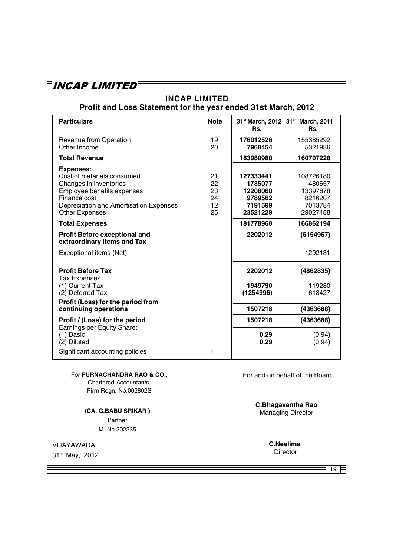#### **INCAP LIMITED Profit and Loss Statement for the year ended 31st March, 2012**

| <b>Particulars</b>                                                                                                                                                                        | <b>Note</b>                      | 31 <sup>st</sup> March, 2012<br>Rs.                                | 31st March, 2011<br>Rs.                                           |
|-------------------------------------------------------------------------------------------------------------------------------------------------------------------------------------------|----------------------------------|--------------------------------------------------------------------|-------------------------------------------------------------------|
| Revenue from Operation<br>Other Income                                                                                                                                                    | 19<br>20                         | 176012526<br>7968454                                               | 155385292<br>5321936                                              |
| <b>Total Revenue</b>                                                                                                                                                                      |                                  | 183980980                                                          | 160707228                                                         |
| <b>Expenses:</b><br>Cost of materials consumed<br>Changes in inventories<br>Employee benefits expenses<br>Finance cost<br>Depreciation and Amortisation Expenses<br><b>Other Expenses</b> | 21<br>22<br>23<br>24<br>12<br>25 | 127333441<br>1735077<br>12208060<br>9789562<br>7191599<br>23521229 | 108726180<br>480657<br>13397878<br>8216207<br>7013784<br>29027488 |
| <b>Total Expenses</b>                                                                                                                                                                     |                                  | 181778968                                                          | 166862194                                                         |
| <b>Profit Before exceptional and</b><br>extraordinary items and Tax                                                                                                                       |                                  | 2202012                                                            | (6154967)                                                         |
| Exceptional items (Net)                                                                                                                                                                   |                                  |                                                                    | 1292131                                                           |
| <b>Profit Before Tax</b><br><b>Tax Expenses</b><br>(1) Current Tax<br>(2) Deferred Tax                                                                                                    |                                  | 2202012<br>1949790<br>(1254996)                                    | (4862835)<br>119280<br>618427                                     |
| Profit (Loss) for the period from<br>continuing operations                                                                                                                                |                                  | 1507218                                                            | (4363688)                                                         |
| Profit / (Loss) for the period<br>Earnings per Equity Share:                                                                                                                              |                                  | 1507218                                                            | (4363688)                                                         |
| $(1)$ Basic<br>(2) Diluted                                                                                                                                                                |                                  | 0.29<br>0.29                                                       | (0.94)<br>(0.94)                                                  |
| Significant accounting policies                                                                                                                                                           | 1                                |                                                                    |                                                                   |

#### For **PURNACHANDRA RAO & CO.,**

Chartered Accountants, Firm Regn. No.002802S

**(CA. G.BABU SRIKAR )** Partner M. No.202335

VIJAYAWADA

31st May, 2012

For and on behalf of the Board

**C.Bhagavantha Rao**

Managing Director

**C.Neelima Director** 

 $\overline{19}$  =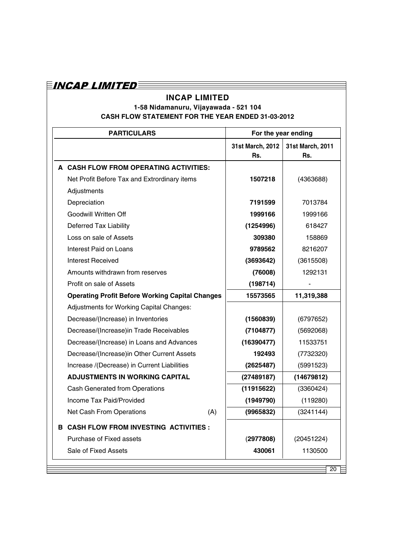# $\equiv$ incap limited $\equiv$

### **INCAP LIMITED**

#### **1-58 Nidamanuru, Vijayawada - 521 104 CASH FLOW STATEMENT FOR THE YEAR ENDED 31-03-2012**

|                                                        | <b>PARTICULARS</b>                              |          | For the year ending     |                         |
|--------------------------------------------------------|-------------------------------------------------|----------|-------------------------|-------------------------|
|                                                        |                                                 |          | 31st March, 2012<br>Rs. | 31st March, 2011<br>Rs. |
|                                                        | A CASH FLOW FROM OPERATING ACTIVITIES:          |          |                         |                         |
|                                                        | Net Profit Before Tax and Extrordinary items    |          | 1507218                 | (4363688)               |
|                                                        | Adjustments                                     |          |                         |                         |
|                                                        | Depreciation                                    |          | 7191599                 | 7013784                 |
|                                                        | Goodwill Written Off                            |          | 1999166                 | 1999166                 |
|                                                        | Deferred Tax Liability                          |          | (1254996)               | 618427                  |
|                                                        | Loss on sale of Assets                          |          | 309380                  | 158869                  |
|                                                        | Interest Paid on Loans                          |          | 9789562                 | 8216207                 |
|                                                        | <b>Interest Received</b>                        |          | (3693642)               | (3615508)               |
|                                                        | Amounts withdrawn from reserves                 |          | (76008)                 | 1292131                 |
|                                                        | Profit on sale of Assets                        |          | (198714)                |                         |
| <b>Operating Profit Before Working Capital Changes</b> |                                                 | 15573565 | 11,319,388              |                         |
|                                                        | <b>Adjustments for Working Capital Changes:</b> |          |                         |                         |
|                                                        | Decrease/(Increase) in Inventories              |          | (1560839)               | (6797652)               |
|                                                        | Decrease/(Increase)in Trade Receivables         |          | (7104877)               | (5692068)               |
|                                                        | Decrease/(Increase) in Loans and Advances       |          | (16390477)              | 11533751                |
|                                                        | Decrease/(Increase)in Other Current Assets      |          | 192493                  | (7732320)               |
|                                                        | Increase /(Decrease) in Current Liabilities     |          | (2625487)               | (5991523)               |
|                                                        | <b>ADJUSTMENTS IN WORKING CAPITAL</b>           |          | (27489187)              | (14679812)              |
|                                                        | <b>Cash Generated from Operations</b>           |          | (11915622)              | (3360424)               |
|                                                        | Income Tax Paid/Provided                        |          | (1949790)               | (119280)                |
|                                                        | Net Cash From Operations                        | (A)      | (9965832)               | (3241144)               |
|                                                        | <b>B CASH FLOW FROM INVESTING ACTIVITIES:</b>   |          |                         |                         |
|                                                        | Purchase of Fixed assets                        |          | (2977808)               | (20451224)              |
|                                                        | Sale of Fixed Assets                            |          | 430061                  | 1130500                 |
|                                                        |                                                 |          |                         | 20                      |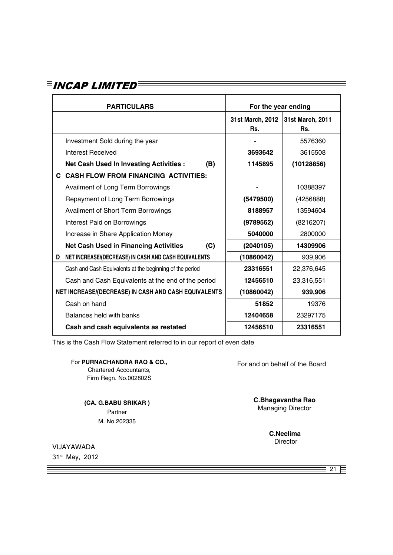| <b>PARTICULARS</b>                                                                                                              |     | For the year ending     |                                                      |  |
|---------------------------------------------------------------------------------------------------------------------------------|-----|-------------------------|------------------------------------------------------|--|
|                                                                                                                                 |     | 31st March, 2012<br>Rs. | 31st March, 2011<br>Rs.                              |  |
| Investment Sold during the year                                                                                                 |     |                         | 5576360                                              |  |
| <b>Interest Received</b>                                                                                                        |     | 3693642                 | 3615508                                              |  |
| <b>Net Cash Used In Investing Activities:</b>                                                                                   | (B) | 1145895                 | (10128856)                                           |  |
| C CASH FLOW FROM FINANCING ACTIVITIES:                                                                                          |     |                         |                                                      |  |
| Availment of Long Term Borrowings                                                                                               |     |                         | 10388397                                             |  |
| Repayment of Long Term Borrowings                                                                                               |     | (5479500)               | (4256888)                                            |  |
| Availment of Short Term Borrowings                                                                                              |     | 8188957                 | 13594604                                             |  |
| Interest Paid on Borrowings                                                                                                     |     | (9789562)               | (8216207)                                            |  |
| Increase in Share Application Money                                                                                             |     | 5040000                 | 2800000                                              |  |
| <b>Net Cash Used in Financing Activities</b>                                                                                    | (C) | (2040105)               | 14309906                                             |  |
| NET INCREASE/(DECREASE) IN CASH AND CASH EQUIVALENTS<br>D                                                                       |     | (10860042)              | 939,906                                              |  |
| Cash and Cash Equivalents at the beginning of the period                                                                        |     | 23316551                | 22,376,645                                           |  |
| Cash and Cash Equivalents at the end of the period                                                                              |     | 12456510                | 23,316,551                                           |  |
| NET INCREASE/(DECREASE) IN CASH AND CASH EQUIVALENTS                                                                            |     | (10860042)              | 939,906                                              |  |
| Cash on hand                                                                                                                    |     | 51852                   | 19376                                                |  |
| Balances held with banks                                                                                                        |     | 12404658                | 23297175                                             |  |
| Cash and cash equivalents as restated                                                                                           |     | 12456510                | 23316551                                             |  |
| This is the Cash Flow Statement referred to in our report of even date<br>For PURNACHANDRA RAO & CO.,<br>Chartered Accountants, |     |                         | For and on behalf of the Board                       |  |
| Firm Regn. No.002802S<br>(CA. G.BABU SRIKAR)<br>Partner<br>M. No.202335                                                         |     |                         | <b>C.Bhagavantha Rao</b><br><b>Managing Director</b> |  |
|                                                                                                                                 |     |                         | <b>C.Neelima</b><br>Director                         |  |

VIJAYAWADA 31st May, 2012

 $\equiv$  21  $\equiv$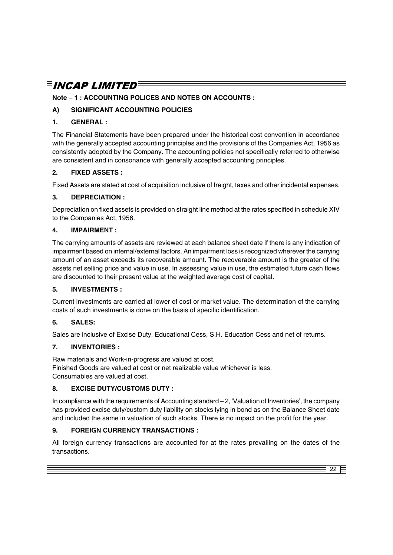#### **Note – 1 : ACCOUNTING POLICES AND NOTES ON ACCOUNTS :**

#### **A) SIGNIFICANT ACCOUNTING POLICIES**

#### **1. GENERAL :**

The Financial Statements have been prepared under the historical cost convention in accordance with the generally accepted accounting principles and the provisions of the Companies Act, 1956 as consistently adopted by the Company. The accounting policies not specifically referred to otherwise are consistent and in consonance with generally accepted accounting principles.

#### **2. FIXED ASSETS :**

Fixed Assets are stated at cost of acquisition inclusive of freight, taxes and other incidental expenses.

#### **3. DEPRECIATION :**

Depreciation on fixed assets is provided on straight line method at the rates specified in schedule XIV to the Companies Act, 1956.

#### **4. IMPAIRMENT :**

The carrying amounts of assets are reviewed at each balance sheet date if there is any indication of impairment based on internal/external factors. An impairment loss is recognized wherever the carrying amount of an asset exceeds its recoverable amount. The recoverable amount is the greater of the assets net selling price and value in use. In assessing value in use, the estimated future cash flows are discounted to their present value at the weighted average cost of capital.

#### **5. INVESTMENTS :**

Current investments are carried at lower of cost or market value. The determination of the carrying costs of such investments is done on the basis of specific identification.

#### **6. SALES:**

Sales are inclusive of Excise Duty, Educational Cess, S.H. Education Cess and net of returns.

#### **7. INVENTORIES :**

Raw materials and Work-in-progress are valued at cost. Finished Goods are valued at cost or net realizable value whichever is less. Consumables are valued at cost.

#### **8. EXCISE DUTY/CUSTOMS DUTY :**

In compliance with the requirements of Accounting standard – 2, 'Valuation of Inventories', the company has provided excise duty/custom duty liability on stocks lying in bond as on the Balance Sheet date and included the same in valuation of such stocks. There is no impact on the profit for the year.

#### **9. FOREIGN CURRENCY TRANSACTIONS :**

All foreign currency transactions are accounted for at the rates prevailing on the dates of the transactions.

22  $\epsilon$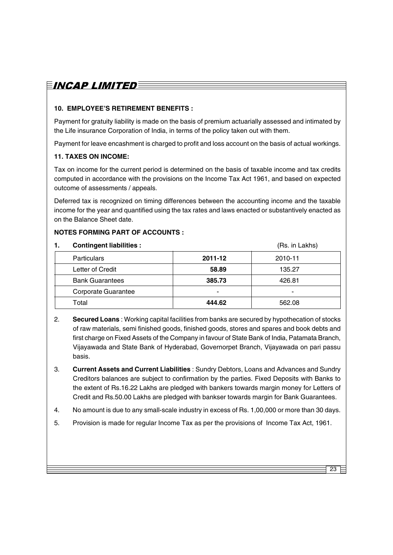#### **10. EMPLOYEE'S RETIREMENT BENEFITS :**

Payment for gratuity liability is made on the basis of premium actuarially assessed and intimated by the Life insurance Corporation of India, in terms of the policy taken out with them.

Payment for leave encashment is charged to profit and loss account on the basis of actual workings.

#### **11. TAXES ON INCOME:**

Tax on income for the current period is determined on the basis of taxable income and tax credits computed in accordance with the provisions on the Income Tax Act 1961, and based on expected outcome of assessments / appeals.

Deferred tax is recognized on timing differences between the accounting income and the taxable income for the year and quantified using the tax rates and laws enacted or substantively enacted as on the Balance Sheet date.

#### **NOTES FORMING PART OF ACCOUNTS :**

| 1. | <b>Contingent liabilities:</b> |         | (Rs. in Lakhs) |
|----|--------------------------------|---------|----------------|
|    | <b>Particulars</b>             | 2011-12 | 2010-11        |
|    | Letter of Credit               | 58.89   | 135.27         |
|    | <b>Bank Guarantees</b>         | 385.73  | 426.81         |
|    | Corporate Guarantee            | -       |                |
|    | Total                          | 444.62  | 562.08         |

- 2. **Secured Loans** : Working capital facilities from banks are secured by hypothecation of stocks of raw materials, semi finished goods, finished goods, stores and spares and book debts and first charge on Fixed Assets of the Company in favour of State Bank of India, Patamata Branch, Vijayawada and State Bank of Hyderabad, Governorpet Branch, Vijayawada on pari passu basis.
- 3. **Current Assets and Current Liabilities** : Sundry Debtors, Loans and Advances and Sundry Creditors balances are subject to confirmation by the parties. Fixed Deposits with Banks to the extent of Rs.16.22 Lakhs are pledged with bankers towards margin money for Letters of Credit and Rs.50.00 Lakhs are pledged with bankser towards margin for Bank Guarantees.
- 4. No amount is due to any small-scale industry in excess of Rs. 1,00,000 or more than 30 days.

 $23 E$ 

5. Provision is made for regular Income Tax as per the provisions of Income Tax Act, 1961.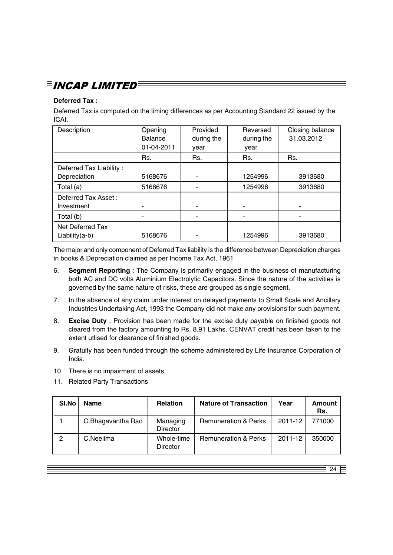# $\bar{E}$ incap limited $\bar{\bar{E}}$

### **Deferred Tax :**

Deferred Tax is computed on the timing differences as per Accounting Standard 22 issued by the ICAI.

| Description                             | Opening<br><b>Balance</b><br>01-04-2011 | Provided<br>during the<br>year | Reversed<br>during the<br>year | Closing balance<br>31.03.2012 |
|-----------------------------------------|-----------------------------------------|--------------------------------|--------------------------------|-------------------------------|
|                                         | Rs.                                     | Rs.                            | Rs.                            | Rs.                           |
| Deferred Tax Liability:<br>Depreciation | 5168676                                 |                                | 1254996                        | 3913680                       |
| Total (a)                               | 5168676                                 |                                | 1254996                        | 3913680                       |
| Deferred Tax Asset:<br>Investment       |                                         |                                |                                |                               |
| Total (b)                               |                                         | -                              | -                              |                               |
| Net Deferred Tax<br>$Liability(a-b)$    | 5168676                                 | -                              | 1254996                        | 3913680                       |

The major and only component of Deferred Tax liability is the difference between Depreciation charges in books & Depreciation claimed as per Income Tax Act, 1961

- 6. **Segment Reporting** : The Company is primarily engaged in the business of manufacturing both AC and DC volts Aluminium Electrolytic Capacitors. Since the nature of the activities is governed by the same nature of risks, these are grouped as single segment.
- 7. In the absence of any claim under interest on delayed payments to Small Scale and Ancillary Industries Undertaking Act, 1993 the Company did not make any provisions for such payment.
- 8. **Excise Duty** : Provision has been made for the excise duty payable on finished goods not cleared from the factory amounting to Rs. 8.91 Lakhs. CENVAT credit has been taken to the extent utlised for clearance of finished goods.
- 9. Gratuity has been funded through the scheme administered by Life Insurance Corporation of India.
- 10. There is no impairment of assets.
- 11. Related Party Transactions

| 2011-12<br>C.Bhagavantha Rao<br><b>Remuneration &amp; Perks</b><br>Managing<br><b>Director</b>             | Rs.    |
|------------------------------------------------------------------------------------------------------------|--------|
|                                                                                                            | 771000 |
| $\overline{2}$<br>C.Neelima<br><b>Remuneration &amp; Perks</b><br>2011-12<br>Whole-time<br><b>Director</b> | 350000 |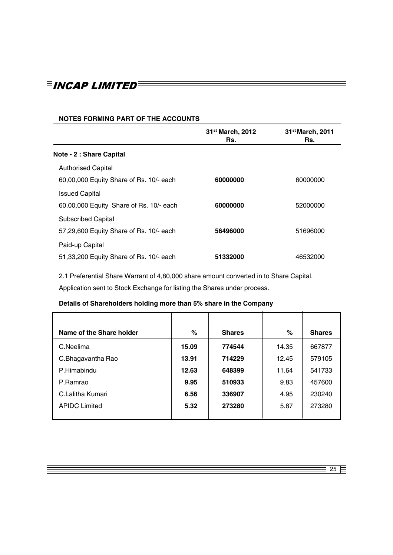### EINCAP LIMITED<sup>E</sup>

#### **NOTES FORMING PART OF THE ACCOUNTS**

|                                         | 31 <sup>st</sup> March, 2012<br>Rs. | 31 <sup>st</sup> March, 2011<br>Rs. |
|-----------------------------------------|-------------------------------------|-------------------------------------|
| Note - 2 : Share Capital                |                                     |                                     |
| <b>Authorised Capital</b>               |                                     |                                     |
| 60,00,000 Equity Share of Rs. 10/- each | 60000000                            | 60000000                            |
| <b>Issued Capital</b>                   |                                     |                                     |
| 60,00,000 Equity Share of Rs. 10/- each | 60000000                            | 52000000                            |
| <b>Subscribed Capital</b>               |                                     |                                     |
| 57,29,600 Equity Share of Rs. 10/- each | 56496000                            | 51696000                            |
| Paid-up Capital                         |                                     |                                     |
| 51,33,200 Equity Share of Rs. 10/- each | 51332000                            | 46532000                            |

2.1 Preferential Share Warrant of 4,80,000 share amount converted in to Share Capital.

Application sent to Stock Exchange for listing the Shares under process.

### **Details of Shareholders holding more than 5% share in the Company**

| Name of the Share holder | %     | <b>Shares</b> | $\%$  | <b>Shares</b> |
|--------------------------|-------|---------------|-------|---------------|
| C.Neelima                | 15.09 | 774544        | 14.35 | 667877        |
| C.Bhagavantha Rao        | 13.91 | 714229        | 12.45 | 579105        |
| P.Himabindu              | 12.63 | 648399        | 11.64 | 541733        |
| P.Ramrao                 | 9.95  | 510933        | 9.83  | 457600        |
| C. Lalitha Kumari        | 6.56  | 336907        | 4.95  | 230240        |
| <b>APIDC Limited</b>     | 5.32  | 273280        | 5.87  | 273280        |
|                          |       |               |       |               |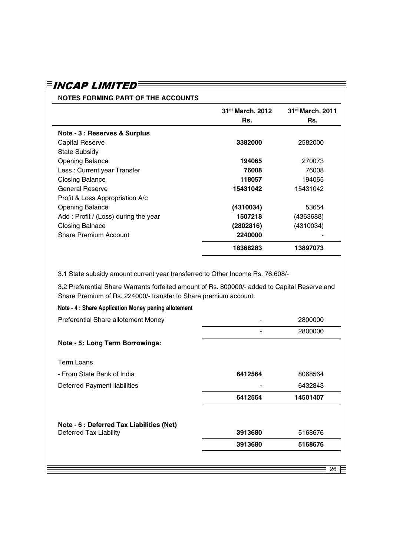|                                                                                | 31 <sup>st</sup> March, 2012<br>Rs. | 31 <sup>st</sup> March, 2011<br>Rs. |
|--------------------------------------------------------------------------------|-------------------------------------|-------------------------------------|
|                                                                                |                                     |                                     |
| Note - 3 : Reserves & Surplus                                                  |                                     |                                     |
| <b>Capital Reserve</b>                                                         | 3382000                             | 2582000                             |
| <b>State Subsidy</b>                                                           |                                     |                                     |
| <b>Opening Balance</b>                                                         | 194065                              | 270073                              |
| Less: Current year Transfer                                                    | 76008                               | 76008                               |
| <b>Closing Balance</b>                                                         | 118057                              | 194065                              |
| <b>General Reserve</b>                                                         | 15431042                            | 15431042                            |
| Profit & Loss Appropriation A/c                                                |                                     |                                     |
| <b>Opening Balance</b>                                                         | (4310034)                           | 53654                               |
| Add: Profit / (Loss) during the year                                           | 1507218                             | (4363688)                           |
| <b>Closing Balnace</b>                                                         | (2802816)                           | (4310034)                           |
| <b>Share Premium Account</b>                                                   | 2240000                             |                                     |
|                                                                                | 18368283                            | 13897073                            |
|                                                                                |                                     |                                     |
| 3.1 State subsidy amount current year transferred to Other Income Rs. 76,608/- |                                     |                                     |

3.2 Preferential Share Warrants forfeited amount of Rs. 800000/- added to Capital Reserve and Share Premium of Rs. 224000/- transfer to Share premium account.

| Note - 4 : Share Application Money pening allotement |         |          |    |
|------------------------------------------------------|---------|----------|----|
| Preferential Share allotement Money                  |         | 2800000  |    |
|                                                      |         | 2800000  |    |
| <b>Note - 5: Long Term Borrowings:</b>               |         |          |    |
| <b>Term Loans</b>                                    |         |          |    |
| - From State Bank of India                           | 6412564 | 8068564  |    |
| Deferred Payment liabilities                         |         | 6432843  |    |
|                                                      | 6412564 | 14501407 |    |
| Note - 6 : Deferred Tax Liabilities (Net)            |         |          |    |
| Deferred Tax Liability                               | 3913680 | 5168676  |    |
|                                                      | 3913680 | 5168676  |    |
|                                                      |         |          |    |
|                                                      |         |          | 26 |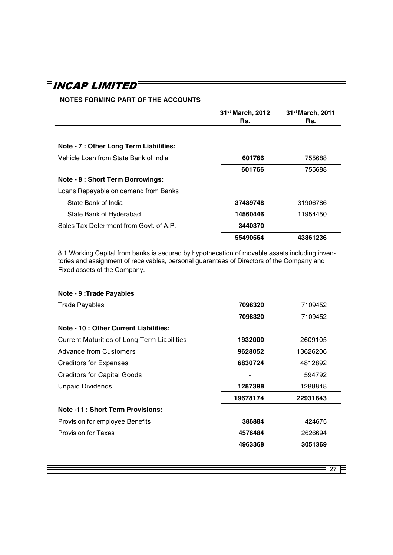| NOTES FORMING PART OF THE ACCOUNTS      |                                     |                                     |
|-----------------------------------------|-------------------------------------|-------------------------------------|
|                                         | 31 <sup>st</sup> March, 2012<br>Rs. | 31 <sup>st</sup> March, 2011<br>Rs. |
| Note - 7 : Other Long Term Liabilities: |                                     |                                     |
| Vehicle Loan from State Bank of India   | 601766                              | 755688                              |
|                                         | 601766                              | 755688                              |
| Note - 8 : Short Term Borrowings:       |                                     |                                     |
| Loans Repayable on demand from Banks    |                                     |                                     |
| State Bank of India                     | 37489748                            | 31906786                            |
| State Bank of Hyderabad                 | 14560446                            | 11954450                            |
| Sales Tax Deferrment from Govt. of A.P. | 3440370                             |                                     |
|                                         | 55490564                            | 43861236                            |

8.1 Working Capital from banks is secured by hypothecation of movable assets including inventories and assignment of receivables, personal guarantees of Directors of the Company and Fixed assets of the Company.

#### **Note - 9 :Trade Payables**

| <b>Trade Payables</b>                              | 7098320  | 7109452  |
|----------------------------------------------------|----------|----------|
|                                                    | 7098320  | 7109452  |
| Note - 10 : Other Current Liabilities:             |          |          |
| <b>Current Maturities of Long Term Liabilities</b> | 1932000  | 2609105  |
| <b>Advance from Customers</b>                      | 9628052  | 13626206 |
| <b>Creditors for Expenses</b>                      | 6830724  | 4812892  |
| <b>Creditors for Capital Goods</b>                 |          | 594792   |
| <b>Unpaid Dividends</b>                            | 1287398  | 1288848  |
|                                                    | 19678174 | 22931843 |
| <b>Note -11: Short Term Provisions:</b>            |          |          |
| Provision for employee Benefits                    | 386884   | 424675   |
| <b>Provision for Taxes</b>                         | 4576484  | 2626694  |
|                                                    | 4963368  | 3051369  |
|                                                    |          |          |
|                                                    |          | 27       |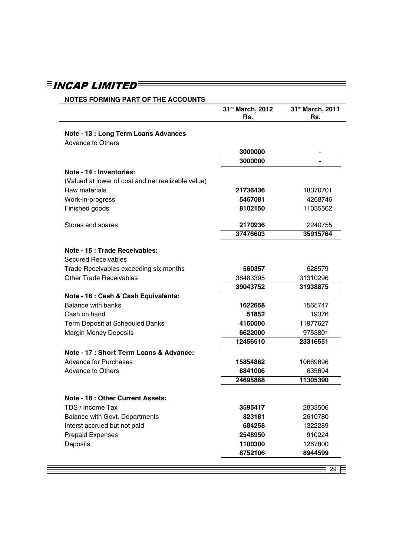| <b>NOTES FORMING PART OF THE ACCOUNTS</b>                        |                         |                                     |
|------------------------------------------------------------------|-------------------------|-------------------------------------|
|                                                                  | 31st March, 2012<br>Rs. | 31 <sup>st</sup> March, 2011<br>Rs. |
| Note - 13 : Long Term Loans Advances<br><b>Advance to Others</b> |                         |                                     |
|                                                                  | 3000000                 |                                     |
|                                                                  | 3000000                 |                                     |
| Note - 14 : Inventories:                                         |                         |                                     |
| (Valued at lower of cost and net realizable velue)               |                         |                                     |
| Raw materials                                                    | 21736436                | 18370701                            |
| Work-in-progress                                                 | 5467081                 | 4268746                             |
| Finished goods                                                   | 8102150                 | 11035562                            |
| Stores and spares                                                | 2170936                 | 2240755                             |
|                                                                  | 37476603                | 35915764                            |
| Note - 15 : Trade Receivables:                                   |                         |                                     |
| <b>Secured Receivables</b>                                       |                         |                                     |
| Trade Receivables exceeding six months                           | 560357                  | 628579                              |
| <b>Other Trade Receivables</b>                                   | 38483395                | 31310296                            |
|                                                                  | 39043752                | 31938875                            |
| Note - 16 : Cash & Cash Equivalents:                             |                         |                                     |
| <b>Balance with banks</b>                                        | 1622658                 | 1565747                             |
| Cash on hand                                                     | 51852                   | 19376                               |
| Term Deposit at Scheduled Banks                                  | 4160000                 | 11977627                            |
| <b>Margin Money Deposits</b>                                     | 6622000                 | 9753801                             |
|                                                                  | 12456510                | 23316551                            |
| Note - 17 : Short Term Loans & Advance:                          |                         |                                     |
| <b>Advance for Purchases</b>                                     | 15854862                | 10669696                            |
| <b>Advance to Others</b>                                         | 8841006                 | 635694                              |
|                                                                  | 24695868                | 11305390                            |
| <b>Note - 18: Other Current Assets:</b>                          |                         |                                     |
| TDS / Income Tax                                                 | 3595417                 | 2833506                             |
| <b>Balance with Govt. Departments</b>                            | 823181                  | 2610780                             |
| Interst accrued but not paid                                     | 684258                  | 1322289                             |
| <b>Prepaid Expenses</b>                                          | 2548950                 | 910224                              |
| Deposits                                                         | 1100300                 | 1267800                             |
|                                                                  | 8752106                 | 8944599                             |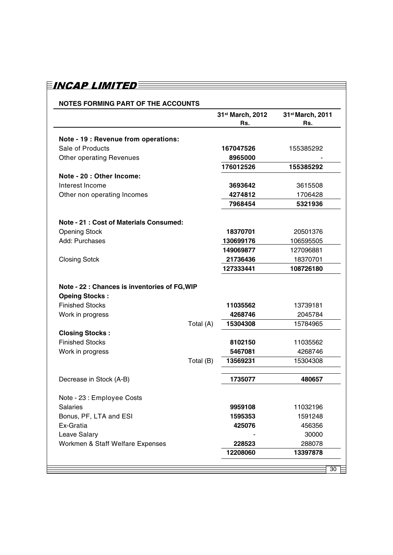#### **NOTES FORMING PART OF THE ACCOUNTS**

| Note - 19 : Revenue from operations:<br>Sale of Products<br>167047526<br>155385292<br><b>Other operating Revenues</b><br>8965000<br>176012526<br>155385292<br>Note - 20 : Other Income:<br>Interest Income<br>3693642<br>3615508<br>Other non operating Incomes<br>4274812<br>1706428<br>7968454<br>5321936<br><b>Note - 21: Cost of Materials Consumed:</b><br><b>Opening Stock</b><br>18370701<br>20501376<br>Add: Purchases<br>130699176<br>106595505<br>149069877<br>127096881<br>18370701<br><b>Closing Sotck</b><br>21736436<br>127333441<br>108726180<br>Note - 22 : Chances is inventories of FG, WIP<br><b>Opeing Stocks:</b><br><b>Finished Stocks</b><br>11035562<br>13739181<br>4268746<br>2045784<br>Work in progress<br>Total (A)<br>15304308<br>15784965<br><b>Closing Stocks:</b><br><b>Finished Stocks</b><br>8102150<br>11035562<br>Work in progress<br>5467081<br>4268746<br>Total (B)<br>15304308<br>13569231<br>Decrease in Stock (A-B)<br>1735077<br>480657<br>Note - 23 : Employee Costs<br><b>Salaries</b><br>9959108<br>11032196<br>Bonus, PF, LTA and ESI<br>1591248<br>1595353<br>Ex-Gratia<br>425076<br>456356<br>Leave Salary<br>30000<br>Workmen & Staff Welfare Expenses<br>228523<br>288078<br>12208060<br>13397878 |  | 31 <sup>st</sup> March, 2012<br>Rs. | 31 <sup>st</sup> March, 2011<br>Rs. |
|-----------------------------------------------------------------------------------------------------------------------------------------------------------------------------------------------------------------------------------------------------------------------------------------------------------------------------------------------------------------------------------------------------------------------------------------------------------------------------------------------------------------------------------------------------------------------------------------------------------------------------------------------------------------------------------------------------------------------------------------------------------------------------------------------------------------------------------------------------------------------------------------------------------------------------------------------------------------------------------------------------------------------------------------------------------------------------------------------------------------------------------------------------------------------------------------------------------------------------------------------------|--|-------------------------------------|-------------------------------------|
|                                                                                                                                                                                                                                                                                                                                                                                                                                                                                                                                                                                                                                                                                                                                                                                                                                                                                                                                                                                                                                                                                                                                                                                                                                                     |  |                                     |                                     |
|                                                                                                                                                                                                                                                                                                                                                                                                                                                                                                                                                                                                                                                                                                                                                                                                                                                                                                                                                                                                                                                                                                                                                                                                                                                     |  |                                     |                                     |
|                                                                                                                                                                                                                                                                                                                                                                                                                                                                                                                                                                                                                                                                                                                                                                                                                                                                                                                                                                                                                                                                                                                                                                                                                                                     |  |                                     |                                     |
|                                                                                                                                                                                                                                                                                                                                                                                                                                                                                                                                                                                                                                                                                                                                                                                                                                                                                                                                                                                                                                                                                                                                                                                                                                                     |  |                                     |                                     |
|                                                                                                                                                                                                                                                                                                                                                                                                                                                                                                                                                                                                                                                                                                                                                                                                                                                                                                                                                                                                                                                                                                                                                                                                                                                     |  |                                     |                                     |
|                                                                                                                                                                                                                                                                                                                                                                                                                                                                                                                                                                                                                                                                                                                                                                                                                                                                                                                                                                                                                                                                                                                                                                                                                                                     |  |                                     |                                     |
|                                                                                                                                                                                                                                                                                                                                                                                                                                                                                                                                                                                                                                                                                                                                                                                                                                                                                                                                                                                                                                                                                                                                                                                                                                                     |  |                                     |                                     |
|                                                                                                                                                                                                                                                                                                                                                                                                                                                                                                                                                                                                                                                                                                                                                                                                                                                                                                                                                                                                                                                                                                                                                                                                                                                     |  |                                     |                                     |
|                                                                                                                                                                                                                                                                                                                                                                                                                                                                                                                                                                                                                                                                                                                                                                                                                                                                                                                                                                                                                                                                                                                                                                                                                                                     |  |                                     |                                     |
|                                                                                                                                                                                                                                                                                                                                                                                                                                                                                                                                                                                                                                                                                                                                                                                                                                                                                                                                                                                                                                                                                                                                                                                                                                                     |  |                                     |                                     |
|                                                                                                                                                                                                                                                                                                                                                                                                                                                                                                                                                                                                                                                                                                                                                                                                                                                                                                                                                                                                                                                                                                                                                                                                                                                     |  |                                     |                                     |
|                                                                                                                                                                                                                                                                                                                                                                                                                                                                                                                                                                                                                                                                                                                                                                                                                                                                                                                                                                                                                                                                                                                                                                                                                                                     |  |                                     |                                     |
|                                                                                                                                                                                                                                                                                                                                                                                                                                                                                                                                                                                                                                                                                                                                                                                                                                                                                                                                                                                                                                                                                                                                                                                                                                                     |  |                                     |                                     |
|                                                                                                                                                                                                                                                                                                                                                                                                                                                                                                                                                                                                                                                                                                                                                                                                                                                                                                                                                                                                                                                                                                                                                                                                                                                     |  |                                     |                                     |
|                                                                                                                                                                                                                                                                                                                                                                                                                                                                                                                                                                                                                                                                                                                                                                                                                                                                                                                                                                                                                                                                                                                                                                                                                                                     |  |                                     |                                     |
|                                                                                                                                                                                                                                                                                                                                                                                                                                                                                                                                                                                                                                                                                                                                                                                                                                                                                                                                                                                                                                                                                                                                                                                                                                                     |  |                                     |                                     |
|                                                                                                                                                                                                                                                                                                                                                                                                                                                                                                                                                                                                                                                                                                                                                                                                                                                                                                                                                                                                                                                                                                                                                                                                                                                     |  |                                     |                                     |
|                                                                                                                                                                                                                                                                                                                                                                                                                                                                                                                                                                                                                                                                                                                                                                                                                                                                                                                                                                                                                                                                                                                                                                                                                                                     |  |                                     |                                     |
|                                                                                                                                                                                                                                                                                                                                                                                                                                                                                                                                                                                                                                                                                                                                                                                                                                                                                                                                                                                                                                                                                                                                                                                                                                                     |  |                                     |                                     |
|                                                                                                                                                                                                                                                                                                                                                                                                                                                                                                                                                                                                                                                                                                                                                                                                                                                                                                                                                                                                                                                                                                                                                                                                                                                     |  |                                     |                                     |
|                                                                                                                                                                                                                                                                                                                                                                                                                                                                                                                                                                                                                                                                                                                                                                                                                                                                                                                                                                                                                                                                                                                                                                                                                                                     |  |                                     |                                     |
|                                                                                                                                                                                                                                                                                                                                                                                                                                                                                                                                                                                                                                                                                                                                                                                                                                                                                                                                                                                                                                                                                                                                                                                                                                                     |  |                                     |                                     |
|                                                                                                                                                                                                                                                                                                                                                                                                                                                                                                                                                                                                                                                                                                                                                                                                                                                                                                                                                                                                                                                                                                                                                                                                                                                     |  |                                     |                                     |
|                                                                                                                                                                                                                                                                                                                                                                                                                                                                                                                                                                                                                                                                                                                                                                                                                                                                                                                                                                                                                                                                                                                                                                                                                                                     |  |                                     |                                     |
|                                                                                                                                                                                                                                                                                                                                                                                                                                                                                                                                                                                                                                                                                                                                                                                                                                                                                                                                                                                                                                                                                                                                                                                                                                                     |  |                                     |                                     |
|                                                                                                                                                                                                                                                                                                                                                                                                                                                                                                                                                                                                                                                                                                                                                                                                                                                                                                                                                                                                                                                                                                                                                                                                                                                     |  |                                     |                                     |
|                                                                                                                                                                                                                                                                                                                                                                                                                                                                                                                                                                                                                                                                                                                                                                                                                                                                                                                                                                                                                                                                                                                                                                                                                                                     |  |                                     |                                     |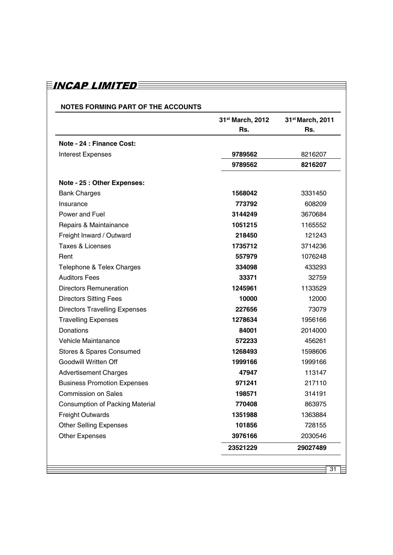### **NOTES FORMING PART OF THE ACCOUNTS**

|                                        | 31 <sup>st</sup> March, 2012 | 31 <sup>st</sup> March, 2011 |
|----------------------------------------|------------------------------|------------------------------|
|                                        | Rs.                          | Rs.                          |
| Note - 24 : Finance Cost:              |                              |                              |
| <b>Interest Expenses</b>               | 9789562                      | 8216207                      |
|                                        | 9789562                      | 8216207                      |
| Note - 25 : Other Expenses:            |                              |                              |
| <b>Bank Charges</b>                    | 1568042                      | 3331450                      |
| Insurance                              | 773792                       | 608209                       |
| Power and Fuel                         | 3144249                      | 3670684                      |
| Repairs & Maintainance                 | 1051215                      | 1165552                      |
| Freight Inward / Outward               | 218450                       | 121243                       |
| <b>Taxes &amp; Licenses</b>            | 1735712                      | 3714236                      |
| Rent                                   | 557979                       | 1076248                      |
| Telephone & Telex Charges              | 334098                       | 433293                       |
| <b>Auditors Fees</b>                   | 33371                        | 32759                        |
| <b>Directors Remuneration</b>          | 1245961                      | 1133529                      |
| <b>Directors Sitting Fees</b>          | 10000                        | 12000                        |
| <b>Directors Travelling Expenses</b>   | 227656                       | 73079                        |
| <b>Travelling Expenses</b>             | 1278634                      | 1956166                      |
| Donations                              | 84001                        | 2014000                      |
| Vehicle Maintanance                    | 572233                       | 456261                       |
| Stores & Spares Consumed               | 1268493                      | 1598606                      |
| Goodwill Written Off                   | 1999166                      | 1999166                      |
| <b>Advertisement Charges</b>           | 47947                        | 113147                       |
| <b>Business Promotion Expenses</b>     | 971241                       | 217110                       |
| <b>Commission on Sales</b>             | 198571                       | 314191                       |
| <b>Consumption of Packing Material</b> | 770408                       | 863975                       |
| <b>Freight Outwards</b>                | 1351988                      | 1363884                      |
| <b>Other Selling Expenses</b>          | 101856                       | 728155                       |
| <b>Other Expenses</b>                  | 3976166                      | 2030546                      |
|                                        | 23521229                     | 29027489                     |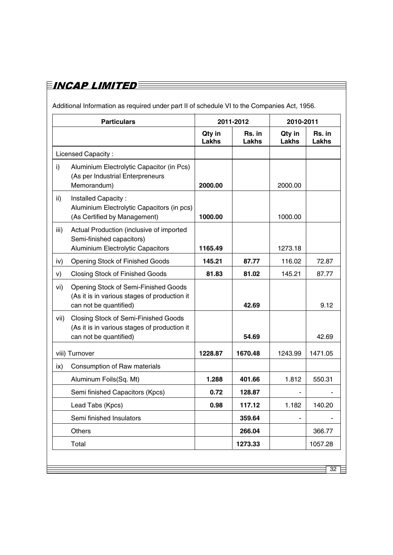# $\equiv$ incap limited $\equiv$

Additional Information as required under part II of schedule VI to the Companies Act, 1956.

|      | <b>Particulars</b>                                                                                             | 2011-2012              |                        | 2010-2011              |                 |
|------|----------------------------------------------------------------------------------------------------------------|------------------------|------------------------|------------------------|-----------------|
|      |                                                                                                                | Qty in<br><b>Lakhs</b> | <b>Rs.</b> in<br>Lakhs | Qty in<br><b>Lakhs</b> | Rs. in<br>Lakhs |
|      | <b>Licensed Capacity:</b>                                                                                      |                        |                        |                        |                 |
| i)   | Aluminium Electrolytic Capacitor (in Pcs)<br>(As per Industrial Enterpreneurs<br>Memorandum)                   | 2000.00                |                        | 2000.00                |                 |
| ii)  | Installed Capacity:<br>Aluminium Electrolytic Capacitors (in pcs)<br>(As Certified by Management)              | 1000.00                |                        | 1000.00                |                 |
| iii) | Actual Production (inclusive of imported<br>Semi-finished capacitors)<br>Aluminium Electrolytic Capacitors     | 1165.49                |                        | 1273.18                |                 |
| iv)  | <b>Opening Stock of Finished Goods</b>                                                                         | 145.21                 | 87.77                  | 116.02                 | 72.87           |
| V)   | <b>Closing Stock of Finished Goods</b>                                                                         | 81.83                  | 81.02                  | 145.21                 | 87.77           |
| vi)  | Opening Stock of Semi-Finished Goods<br>(As it is in various stages of production it<br>can not be quantified) |                        | 42.69                  |                        | 9.12            |
| vii) | Closing Stock of Semi-Finished Goods<br>(As it is in various stages of production it<br>can not be quantified) |                        | 54.69                  |                        | 42.69           |
|      | viii) Turnover                                                                                                 | 1228.87                | 1670.48                | 1243.99                | 1471.05         |
| ix)  | Consumption of Raw materials                                                                                   |                        |                        |                        |                 |
|      | Aluminum Foils(Sq. Mt)                                                                                         | 1.288                  | 401.66                 | 1.812                  | 550.31          |
|      | Semi finished Capacitors (Kpcs)                                                                                | 0.72                   | 128.87                 |                        |                 |
|      | Lead Tabs (Kpcs)                                                                                               | 0.98                   | 117.12                 | 1.182                  | 140.20          |
|      | Semi finished Insulators                                                                                       |                        | 359.64                 |                        |                 |
|      | Others                                                                                                         |                        | 266.04                 |                        | 366.77          |
|      | Total                                                                                                          |                        | 1273.33                |                        | 1057.28         |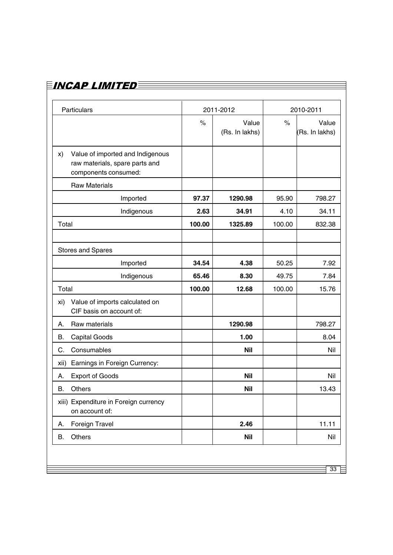| Particulars                                                                                      | 2011-2012     |                         | 2010-2011 |                         |
|--------------------------------------------------------------------------------------------------|---------------|-------------------------|-----------|-------------------------|
|                                                                                                  | $\frac{1}{2}$ | Value<br>(Rs. In lakhs) | $\%$      | Value<br>(Rs. In lakhs) |
| Value of imported and Indigenous<br>X)<br>raw materials, spare parts and<br>components consumed: |               |                         |           |                         |
| <b>Raw Materials</b>                                                                             |               |                         |           |                         |
| Imported                                                                                         | 97.37         | 1290.98                 | 95.90     | 798.27                  |
| Indigenous                                                                                       | 2.63          | 34.91                   | 4.10      | 34.11                   |
| Total                                                                                            | 100.00        | 1325.89                 | 100.00    | 832.38                  |
|                                                                                                  |               |                         |           |                         |
| <b>Stores and Spares</b>                                                                         |               |                         |           |                         |
| Imported                                                                                         | 34.54         | 4.38                    | 50.25     | 7.92                    |
| Indigenous                                                                                       | 65.46         | 8.30                    | 49.75     | 7.84                    |
| Total                                                                                            | 100.00        | 12.68                   | 100.00    | 15.76                   |
| Value of imports calculated on<br>xi)<br>CIF basis on account of:                                |               |                         |           |                         |
| Raw materials<br>А.                                                                              |               | 1290.98                 |           | 798.27                  |
| В.<br><b>Capital Goods</b>                                                                       |               | 1.00                    |           | 8.04                    |
| Consumables<br>С.                                                                                |               | <b>Nil</b>              |           | Nil                     |
| xii) Earnings in Foreign Currency:                                                               |               |                         |           |                         |
| <b>Export of Goods</b><br>А.                                                                     |               | <b>Nil</b>              |           | Nil                     |
| Others<br>B.                                                                                     |               | <b>Nil</b>              |           | 13.43                   |
| xiii) Expenditure in Foreign currency<br>on account of:                                          |               |                         |           |                         |
| Foreign Travel<br>А.                                                                             |               | 2.46                    |           | 11.11                   |
| Others<br>В.                                                                                     |               | <b>Nil</b>              |           | Nil                     |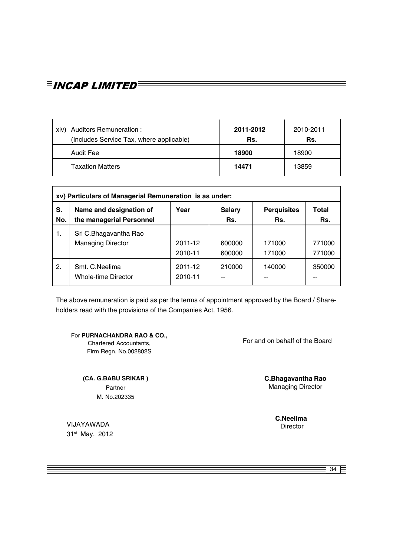| <b>Auditors Remuneration:</b><br>xiv)<br>(Includes Service Tax, where applicable) | 2011-2012<br>Rs. | 2010-2011<br>Rs. |
|-----------------------------------------------------------------------------------|------------------|------------------|
| <b>Audit Fee</b>                                                                  | 18900            | 18900            |
| <b>Taxation Matters</b>                                                           | 14471            | 13859            |

|     | xv) Particulars of Managerial Remuneration is as under: |                    |               |                    |        |  |  |
|-----|---------------------------------------------------------|--------------------|---------------|--------------------|--------|--|--|
| S.  | Name and designation of                                 | Year               | <b>Salary</b> | <b>Perquisites</b> | Total  |  |  |
| No. | the managerial Personnel                                |                    | Rs.           | Rs.                | Rs.    |  |  |
| 1.  | Sri C.Bhagavantha Rao                                   | 2011-12            | 600000        | 171000             | 771000 |  |  |
|     | <b>Managing Director</b>                                | 2010-11            | 600000        | 171000             | 771000 |  |  |
| 2.  | Smt. C.Neelima<br>Whole-time Director                   | 2011-12<br>2010-11 | 210000        | 140000             | 350000 |  |  |

The above remuneration is paid as per the terms of appointment approved by the Board / Shareholders read with the provisions of the Companies Act, 1956.

For **PURNACHANDRA RAO & CO.,**

Chartered Accountants, Firm Regn. No.002802S

**(CA. G.BABU SRIKAR )** Partner M. No.202335

VIJAYAWADA 31st May, 2012

EINCAP LIMITEDE

For and on behalf of the Board

**C.Bhagavantha Rao** Managing Director

**C.Neelima**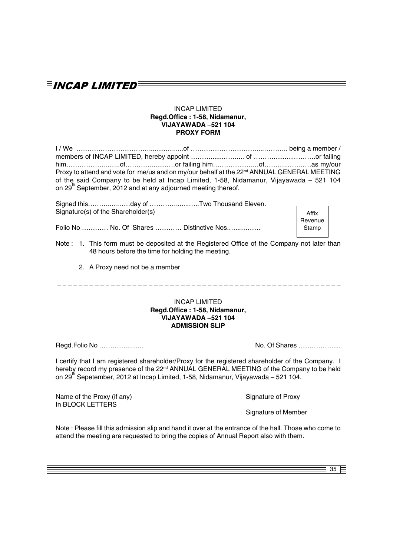| E <i>incap Limited</i> e                                                                                                                                                                                                                                                                                 |                            |                  |  |  |
|----------------------------------------------------------------------------------------------------------------------------------------------------------------------------------------------------------------------------------------------------------------------------------------------------------|----------------------------|------------------|--|--|
| <b>INCAP LIMITED</b><br>Regd.Office: 1-58, Nidamanur,<br>VIJAYAWADA -521 104<br><b>PROXY FORM</b>                                                                                                                                                                                                        |                            |                  |  |  |
| Proxy to attend and vote for me/us and on my/our behalf at the 22 <sup>nd</sup> ANNUAL GENERAL MEETING<br>of the said Company to be held at Incap Limited, 1-58, Nidamanur, Vijayawada - 521 104<br>on 29 <sup>th</sup> September, 2012 and at any adjourned meeting thereof.                            |                            |                  |  |  |
| Signed thisday of Two Thousand Eleven.<br>Signature(s) of the Shareholder(s)                                                                                                                                                                                                                             |                            | Affix<br>Revenue |  |  |
| Folio No  No. Of Shares  Distinctive Nos                                                                                                                                                                                                                                                                 |                            | Stamp            |  |  |
| Note: 1. This form must be deposited at the Registered Office of the Company not later than<br>48 hours before the time for holding the meeting.                                                                                                                                                         |                            |                  |  |  |
| 2. A Proxy need not be a member                                                                                                                                                                                                                                                                          |                            |                  |  |  |
| <b>INCAP LIMITED</b><br>Regd.Office: 1-58, Nidamanur,<br>VIJAYAWADA -521 104<br><b>ADMISSION SLIP</b>                                                                                                                                                                                                    |                            |                  |  |  |
| Regd.Folio No                                                                                                                                                                                                                                                                                            | No. Of Shares              |                  |  |  |
| I certify that I am registered shareholder/Proxy for the registered shareholder of the Company. I<br>hereby record my presence of the 22 <sup>nd</sup> ANNUAL GENERAL MEETING of the Company to be held<br>on 29 <sup>th</sup> Sepetember, 2012 at Incap Limited, 1-58, Nidamanur, Vijayawada – 521 104. |                            |                  |  |  |
| Name of the Proxy (if any)<br>In BLOCK LETTERS                                                                                                                                                                                                                                                           | Signature of Proxy         |                  |  |  |
|                                                                                                                                                                                                                                                                                                          | <b>Signature of Member</b> |                  |  |  |
| Note: Please fill this admission slip and hand it over at the entrance of the hall. Those who come to<br>attend the meeting are requested to bring the copies of Annual Report also with them.                                                                                                           |                            |                  |  |  |
|                                                                                                                                                                                                                                                                                                          |                            |                  |  |  |
|                                                                                                                                                                                                                                                                                                          |                            | 35               |  |  |